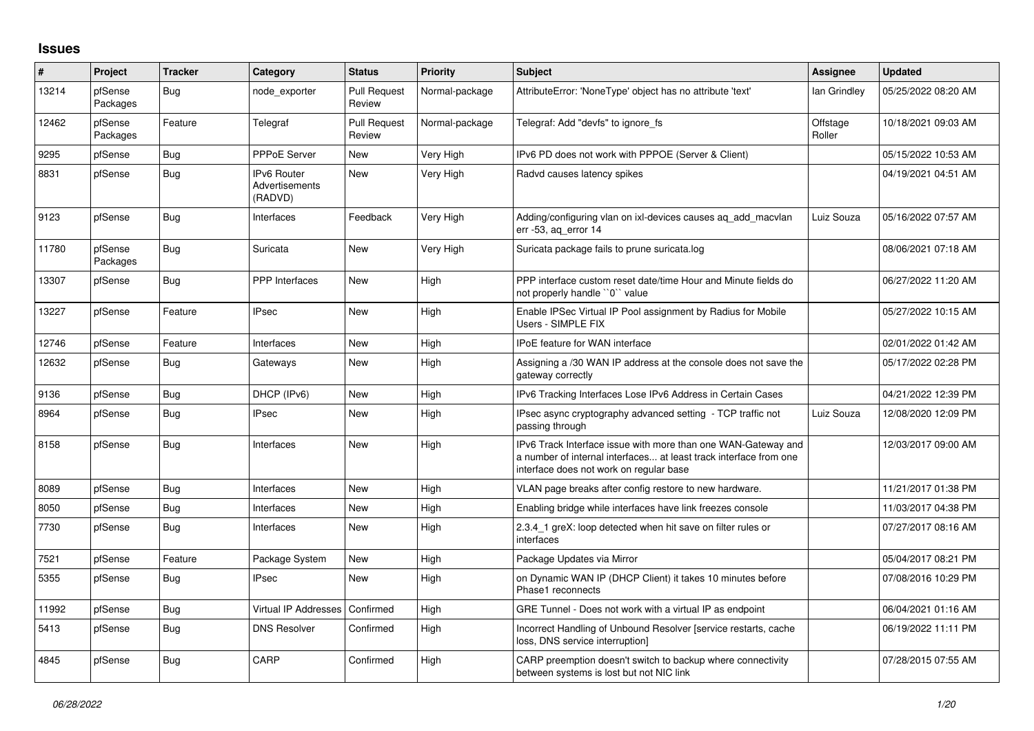## **Issues**

| $\pmb{\sharp}$ | Project             | <b>Tracker</b> | Category                                        | <b>Status</b>                 | <b>Priority</b> | <b>Subject</b>                                                                                                                                                                | Assignee           | <b>Updated</b>      |
|----------------|---------------------|----------------|-------------------------------------------------|-------------------------------|-----------------|-------------------------------------------------------------------------------------------------------------------------------------------------------------------------------|--------------------|---------------------|
| 13214          | pfSense<br>Packages | <b>Bug</b>     | node exporter                                   | <b>Pull Request</b><br>Review | Normal-package  | AttributeError: 'NoneType' object has no attribute 'text'                                                                                                                     | lan Grindley       | 05/25/2022 08:20 AM |
| 12462          | pfSense<br>Packages | Feature        | Telegraf                                        | <b>Pull Request</b><br>Review | Normal-package  | Telegraf: Add "devfs" to ignore_fs                                                                                                                                            | Offstage<br>Roller | 10/18/2021 09:03 AM |
| 9295           | pfSense             | Bug            | PPPoE Server                                    | <b>New</b>                    | Very High       | IPv6 PD does not work with PPPOE (Server & Client)                                                                                                                            |                    | 05/15/2022 10:53 AM |
| 8831           | pfSense             | Bug            | <b>IPv6 Router</b><br>Advertisements<br>(RADVD) | <b>New</b>                    | Very High       | Radvd causes latency spikes                                                                                                                                                   |                    | 04/19/2021 04:51 AM |
| 9123           | pfSense             | Bug            | Interfaces                                      | Feedback                      | Very High       | Adding/configuring vlan on ixl-devices causes ag add macvlan<br>err -53, ag error 14                                                                                          | Luiz Souza         | 05/16/2022 07:57 AM |
| 11780          | pfSense<br>Packages | Bug            | Suricata                                        | <b>New</b>                    | Very High       | Suricata package fails to prune suricata.log                                                                                                                                  |                    | 08/06/2021 07:18 AM |
| 13307          | pfSense             | Bug            | PPP Interfaces                                  | <b>New</b>                    | High            | PPP interface custom reset date/time Hour and Minute fields do<br>not properly handle "0" value                                                                               |                    | 06/27/2022 11:20 AM |
| 13227          | pfSense             | Feature        | <b>IPsec</b>                                    | New                           | High            | Enable IPSec Virtual IP Pool assignment by Radius for Mobile<br>Users - SIMPLE FIX                                                                                            |                    | 05/27/2022 10:15 AM |
| 12746          | pfSense             | Feature        | Interfaces                                      | <b>New</b>                    | High            | <b>IPoE</b> feature for WAN interface                                                                                                                                         |                    | 02/01/2022 01:42 AM |
| 12632          | pfSense             | Bug            | Gateways                                        | <b>New</b>                    | High            | Assigning a /30 WAN IP address at the console does not save the<br>gateway correctly                                                                                          |                    | 05/17/2022 02:28 PM |
| 9136           | pfSense             | <b>Bug</b>     | DHCP (IPv6)                                     | <b>New</b>                    | High            | IPv6 Tracking Interfaces Lose IPv6 Address in Certain Cases                                                                                                                   |                    | 04/21/2022 12:39 PM |
| 8964           | pfSense             | Bug            | IPsec                                           | New                           | High            | IPsec async cryptography advanced setting - TCP traffic not<br>passing through                                                                                                | Luiz Souza         | 12/08/2020 12:09 PM |
| 8158           | pfSense             | Bug            | Interfaces                                      | <b>New</b>                    | High            | IPv6 Track Interface issue with more than one WAN-Gateway and<br>a number of internal interfaces at least track interface from one<br>interface does not work on regular base |                    | 12/03/2017 09:00 AM |
| 8089           | pfSense             | Bug            | Interfaces                                      | <b>New</b>                    | High            | VLAN page breaks after config restore to new hardware.                                                                                                                        |                    | 11/21/2017 01:38 PM |
| 8050           | pfSense             | Bug            | Interfaces                                      | New                           | High            | Enabling bridge while interfaces have link freezes console                                                                                                                    |                    | 11/03/2017 04:38 PM |
| 7730           | pfSense             | Bug            | Interfaces                                      | <b>New</b>                    | High            | 2.3.4 1 greX: loop detected when hit save on filter rules or<br>interfaces                                                                                                    |                    | 07/27/2017 08:16 AM |
| 7521           | pfSense             | Feature        | Package System                                  | <b>New</b>                    | High            | Package Updates via Mirror                                                                                                                                                    |                    | 05/04/2017 08:21 PM |
| 5355           | pfSense             | Bug            | IPsec                                           | <b>New</b>                    | High            | on Dynamic WAN IP (DHCP Client) it takes 10 minutes before<br>Phase1 reconnects                                                                                               |                    | 07/08/2016 10:29 PM |
| 11992          | pfSense             | Bug            | Virtual IP Addresses                            | Confirmed                     | High            | GRE Tunnel - Does not work with a virtual IP as endpoint                                                                                                                      |                    | 06/04/2021 01:16 AM |
| 5413           | pfSense             | Bug            | <b>DNS Resolver</b>                             | Confirmed                     | High            | Incorrect Handling of Unbound Resolver [service restarts, cache<br>loss, DNS service interruption]                                                                            |                    | 06/19/2022 11:11 PM |
| 4845           | pfSense             | Bug            | CARP                                            | Confirmed                     | High            | CARP preemption doesn't switch to backup where connectivity<br>between systems is lost but not NIC link                                                                       |                    | 07/28/2015 07:55 AM |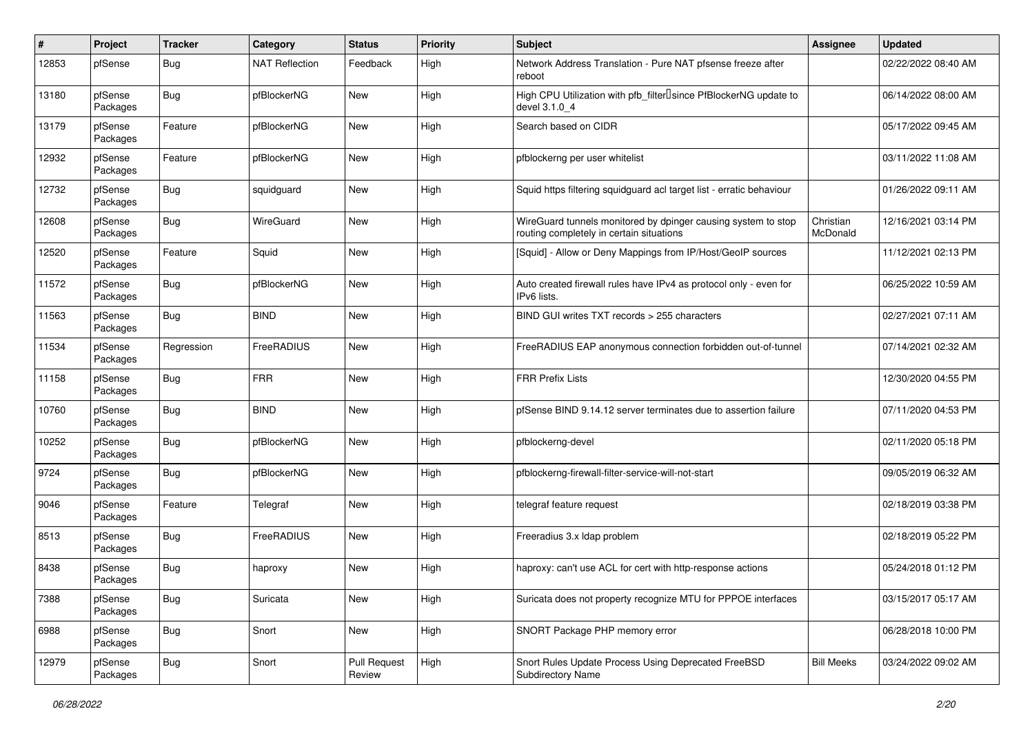| #     | Project             | <b>Tracker</b> | Category              | <b>Status</b>                 | <b>Priority</b> | <b>Subject</b>                                                                                            | Assignee              | <b>Updated</b>      |
|-------|---------------------|----------------|-----------------------|-------------------------------|-----------------|-----------------------------------------------------------------------------------------------------------|-----------------------|---------------------|
| 12853 | pfSense             | Bug            | <b>NAT Reflection</b> | Feedback                      | High            | Network Address Translation - Pure NAT pfsense freeze after<br>reboot                                     |                       | 02/22/2022 08:40 AM |
| 13180 | pfSense<br>Packages | <b>Bug</b>     | pfBlockerNG           | <b>New</b>                    | High            | High CPU Utilization with pfb_filter <sup>[]</sup> since PfBlockerNG update to<br>devel 3.1.0 4           |                       | 06/14/2022 08:00 AM |
| 13179 | pfSense<br>Packages | Feature        | pfBlockerNG           | <b>New</b>                    | High            | Search based on CIDR                                                                                      |                       | 05/17/2022 09:45 AM |
| 12932 | pfSense<br>Packages | Feature        | pfBlockerNG           | <b>New</b>                    | High            | pfblockerng per user whitelist                                                                            |                       | 03/11/2022 11:08 AM |
| 12732 | pfSense<br>Packages | <b>Bug</b>     | squidguard            | <b>New</b>                    | High            | Squid https filtering squidguard acl target list - erratic behaviour                                      |                       | 01/26/2022 09:11 AM |
| 12608 | pfSense<br>Packages | <b>Bug</b>     | WireGuard             | <b>New</b>                    | High            | WireGuard tunnels monitored by dpinger causing system to stop<br>routing completely in certain situations | Christian<br>McDonald | 12/16/2021 03:14 PM |
| 12520 | pfSense<br>Packages | Feature        | Squid                 | <b>New</b>                    | High            | [Squid] - Allow or Deny Mappings from IP/Host/GeoIP sources                                               |                       | 11/12/2021 02:13 PM |
| 11572 | pfSense<br>Packages | <b>Bug</b>     | pfBlockerNG           | New                           | High            | Auto created firewall rules have IPv4 as protocol only - even for<br>IPv6 lists.                          |                       | 06/25/2022 10:59 AM |
| 11563 | pfSense<br>Packages | <b>Bug</b>     | <b>BIND</b>           | <b>New</b>                    | High            | BIND GUI writes TXT records > 255 characters                                                              |                       | 02/27/2021 07:11 AM |
| 11534 | pfSense<br>Packages | Regression     | FreeRADIUS            | <b>New</b>                    | High            | FreeRADIUS EAP anonymous connection forbidden out-of-tunnel                                               |                       | 07/14/2021 02:32 AM |
| 11158 | pfSense<br>Packages | <b>Bug</b>     | <b>FRR</b>            | <b>New</b>                    | High            | <b>FRR Prefix Lists</b>                                                                                   |                       | 12/30/2020 04:55 PM |
| 10760 | pfSense<br>Packages | <b>Bug</b>     | <b>BIND</b>           | <b>New</b>                    | High            | pfSense BIND 9.14.12 server terminates due to assertion failure                                           |                       | 07/11/2020 04:53 PM |
| 10252 | pfSense<br>Packages | <b>Bug</b>     | pfBlockerNG           | <b>New</b>                    | High            | pfblockerng-devel                                                                                         |                       | 02/11/2020 05:18 PM |
| 9724  | pfSense<br>Packages | <b>Bug</b>     | pfBlockerNG           | <b>New</b>                    | High            | pfblockerng-firewall-filter-service-will-not-start                                                        |                       | 09/05/2019 06:32 AM |
| 9046  | pfSense<br>Packages | Feature        | Telegraf              | New                           | High            | telegraf feature request                                                                                  |                       | 02/18/2019 03:38 PM |
| 8513  | pfSense<br>Packages | <b>Bug</b>     | FreeRADIUS            | <b>New</b>                    | High            | Freeradius 3.x Idap problem                                                                               |                       | 02/18/2019 05:22 PM |
| 8438  | pfSense<br>Packages | <b>Bug</b>     | haproxy               | New                           | High            | haproxy: can't use ACL for cert with http-response actions                                                |                       | 05/24/2018 01:12 PM |
| 7388  | pfSense<br>Packages | Bug            | Suricata              | New                           | High            | Suricata does not property recognize MTU for PPPOE interfaces                                             |                       | 03/15/2017 05:17 AM |
| 6988  | pfSense<br>Packages | <b>Bug</b>     | Snort                 | New                           | High            | SNORT Package PHP memory error                                                                            |                       | 06/28/2018 10:00 PM |
| 12979 | pfSense<br>Packages | Bug            | Snort                 | <b>Pull Request</b><br>Review | High            | Snort Rules Update Process Using Deprecated FreeBSD<br>Subdirectory Name                                  | <b>Bill Meeks</b>     | 03/24/2022 09:02 AM |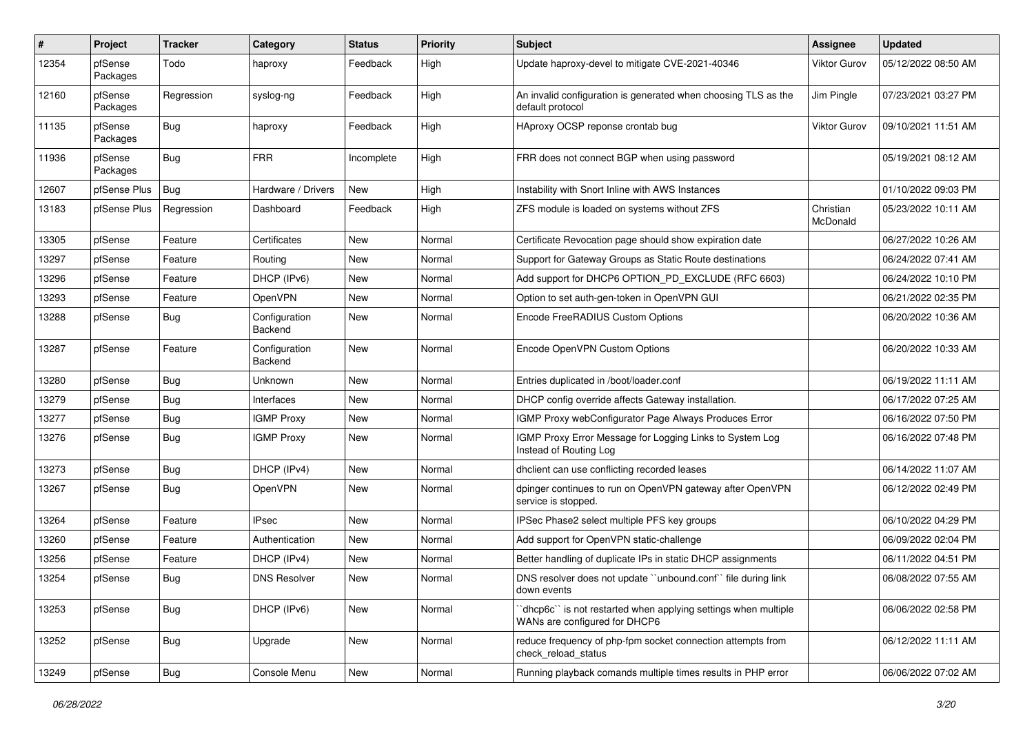| #     | <b>Project</b>      | <b>Tracker</b> | Category                 | <b>Status</b> | <b>Priority</b> | <b>Subject</b>                                                                                  | <b>Assignee</b>       | <b>Updated</b>      |
|-------|---------------------|----------------|--------------------------|---------------|-----------------|-------------------------------------------------------------------------------------------------|-----------------------|---------------------|
| 12354 | pfSense<br>Packages | Todo           | haproxy                  | Feedback      | High            | Update haproxy-devel to mitigate CVE-2021-40346                                                 | <b>Viktor Gurov</b>   | 05/12/2022 08:50 AM |
| 12160 | pfSense<br>Packages | Regression     | syslog-ng                | Feedback      | High            | An invalid configuration is generated when choosing TLS as the<br>default protocol              | Jim Pingle            | 07/23/2021 03:27 PM |
| 11135 | pfSense<br>Packages | <b>Bug</b>     | haproxy                  | Feedback      | High            | HAproxy OCSP reponse crontab bug                                                                | Viktor Gurov          | 09/10/2021 11:51 AM |
| 11936 | pfSense<br>Packages | Bug            | <b>FRR</b>               | Incomplete    | High            | FRR does not connect BGP when using password                                                    |                       | 05/19/2021 08:12 AM |
| 12607 | pfSense Plus        | Bug            | Hardware / Drivers       | <b>New</b>    | High            | Instability with Snort Inline with AWS Instances                                                |                       | 01/10/2022 09:03 PM |
| 13183 | pfSense Plus        | Regression     | Dashboard                | Feedback      | High            | ZFS module is loaded on systems without ZFS                                                     | Christian<br>McDonald | 05/23/2022 10:11 AM |
| 13305 | pfSense             | Feature        | Certificates             | <b>New</b>    | Normal          | Certificate Revocation page should show expiration date                                         |                       | 06/27/2022 10:26 AM |
| 13297 | pfSense             | Feature        | Routing                  | <b>New</b>    | Normal          | Support for Gateway Groups as Static Route destinations                                         |                       | 06/24/2022 07:41 AM |
| 13296 | pfSense             | Feature        | DHCP (IPv6)              | New           | Normal          | Add support for DHCP6 OPTION_PD_EXCLUDE (RFC 6603)                                              |                       | 06/24/2022 10:10 PM |
| 13293 | pfSense             | Feature        | <b>OpenVPN</b>           | <b>New</b>    | Normal          | Option to set auth-gen-token in OpenVPN GUI                                                     |                       | 06/21/2022 02:35 PM |
| 13288 | pfSense             | <b>Bug</b>     | Configuration<br>Backend | New           | Normal          | Encode FreeRADIUS Custom Options                                                                |                       | 06/20/2022 10:36 AM |
| 13287 | pfSense             | Feature        | Configuration<br>Backend | <b>New</b>    | Normal          | Encode OpenVPN Custom Options                                                                   |                       | 06/20/2022 10:33 AM |
| 13280 | pfSense             | <b>Bug</b>     | Unknown                  | <b>New</b>    | Normal          | Entries duplicated in /boot/loader.conf                                                         |                       | 06/19/2022 11:11 AM |
| 13279 | pfSense             | Bug            | Interfaces               | <b>New</b>    | Normal          | DHCP config override affects Gateway installation.                                              |                       | 06/17/2022 07:25 AM |
| 13277 | pfSense             | <b>Bug</b>     | <b>IGMP Proxy</b>        | New           | Normal          | IGMP Proxy webConfigurator Page Always Produces Error                                           |                       | 06/16/2022 07:50 PM |
| 13276 | pfSense             | <b>Bug</b>     | <b>IGMP Proxy</b>        | New           | Normal          | IGMP Proxy Error Message for Logging Links to System Log<br>Instead of Routing Log              |                       | 06/16/2022 07:48 PM |
| 13273 | pfSense             | <b>Bug</b>     | DHCP (IPv4)              | <b>New</b>    | Normal          | dhclient can use conflicting recorded leases                                                    |                       | 06/14/2022 11:07 AM |
| 13267 | pfSense             | <b>Bug</b>     | OpenVPN                  | New           | Normal          | dpinger continues to run on OpenVPN gateway after OpenVPN<br>service is stopped.                |                       | 06/12/2022 02:49 PM |
| 13264 | pfSense             | Feature        | <b>IPsec</b>             | New           | Normal          | IPSec Phase2 select multiple PFS key groups                                                     |                       | 06/10/2022 04:29 PM |
| 13260 | pfSense             | Feature        | Authentication           | <b>New</b>    | Normal          | Add support for OpenVPN static-challenge                                                        |                       | 06/09/2022 02:04 PM |
| 13256 | pfSense             | Feature        | DHCP (IPv4)              | New           | Normal          | Better handling of duplicate IPs in static DHCP assignments                                     |                       | 06/11/2022 04:51 PM |
| 13254 | pfSense             | Bug            | <b>DNS Resolver</b>      | New           | Normal          | DNS resolver does not update "unbound.conf" file during link<br>down events                     |                       | 06/08/2022 07:55 AM |
| 13253 | pfSense             | <b>Bug</b>     | DHCP (IPv6)              | <b>New</b>    | Normal          | "dhcp6c" is not restarted when applying settings when multiple<br>WANs are configured for DHCP6 |                       | 06/06/2022 02:58 PM |
| 13252 | pfSense             | <b>Bug</b>     | Upgrade                  | New           | Normal          | reduce frequency of php-fpm socket connection attempts from<br>check reload status              |                       | 06/12/2022 11:11 AM |
| 13249 | pfSense             | <b>Bug</b>     | Console Menu             | New           | Normal          | Running playback comands multiple times results in PHP error                                    |                       | 06/06/2022 07:02 AM |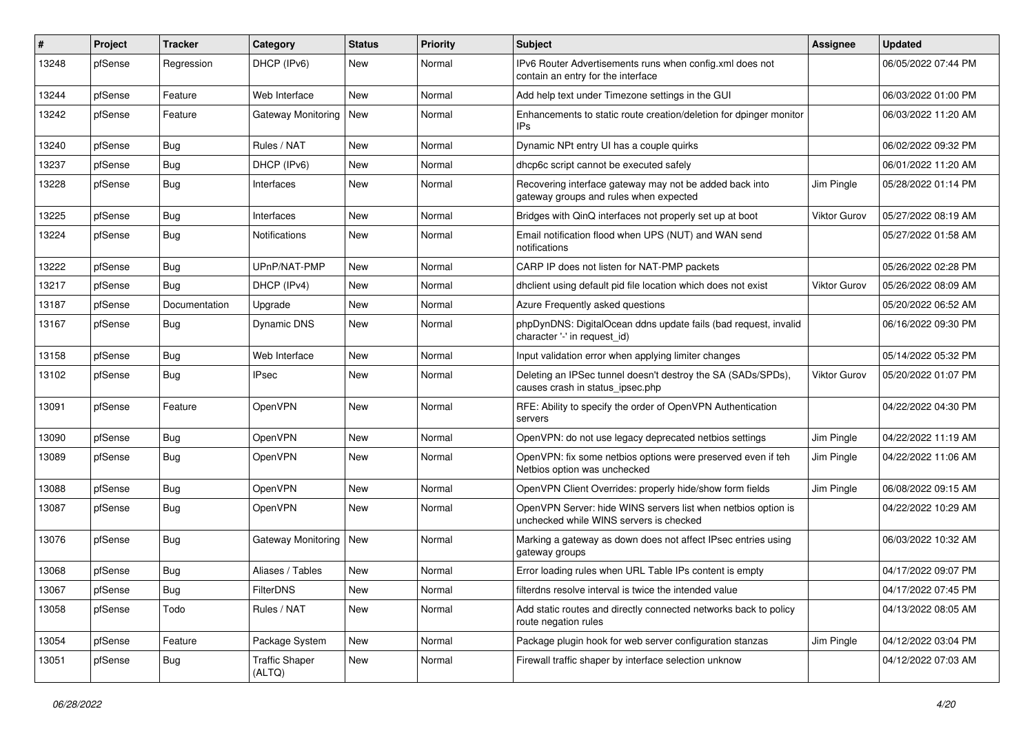| ∦     | Project | <b>Tracker</b> | Category                        | <b>Status</b> | <b>Priority</b> | Subject                                                                                                  | <b>Assignee</b>     | <b>Updated</b>      |
|-------|---------|----------------|---------------------------------|---------------|-----------------|----------------------------------------------------------------------------------------------------------|---------------------|---------------------|
| 13248 | pfSense | Regression     | DHCP (IPv6)                     | New           | Normal          | IPv6 Router Advertisements runs when config.xml does not<br>contain an entry for the interface           |                     | 06/05/2022 07:44 PM |
| 13244 | pfSense | Feature        | Web Interface                   | <b>New</b>    | Normal          | Add help text under Timezone settings in the GUI                                                         |                     | 06/03/2022 01:00 PM |
| 13242 | pfSense | Feature        | <b>Gateway Monitoring</b>       | New           | Normal          | Enhancements to static route creation/deletion for dpinger monitor<br>IPs                                |                     | 06/03/2022 11:20 AM |
| 13240 | pfSense | Bug            | Rules / NAT                     | <b>New</b>    | Normal          | Dynamic NPt entry UI has a couple quirks                                                                 |                     | 06/02/2022 09:32 PM |
| 13237 | pfSense | Bug            | DHCP (IPv6)                     | New           | Normal          | dhcp6c script cannot be executed safely                                                                  |                     | 06/01/2022 11:20 AM |
| 13228 | pfSense | <b>Bug</b>     | Interfaces                      | New           | Normal          | Recovering interface gateway may not be added back into<br>gateway groups and rules when expected        | Jim Pingle          | 05/28/2022 01:14 PM |
| 13225 | pfSense | Bug            | Interfaces                      | <b>New</b>    | Normal          | Bridges with QinQ interfaces not properly set up at boot                                                 | <b>Viktor Gurov</b> | 05/27/2022 08:19 AM |
| 13224 | pfSense | Bug            | Notifications                   | New           | Normal          | Email notification flood when UPS (NUT) and WAN send<br>notifications                                    |                     | 05/27/2022 01:58 AM |
| 13222 | pfSense | <b>Bug</b>     | UPnP/NAT-PMP                    | <b>New</b>    | Normal          | CARP IP does not listen for NAT-PMP packets                                                              |                     | 05/26/2022 02:28 PM |
| 13217 | pfSense | Bug            | DHCP (IPv4)                     | New           | Normal          | dhclient using default pid file location which does not exist                                            | <b>Viktor Gurov</b> | 05/26/2022 08:09 AM |
| 13187 | pfSense | Documentation  | Upgrade                         | <b>New</b>    | Normal          | Azure Frequently asked questions                                                                         |                     | 05/20/2022 06:52 AM |
| 13167 | pfSense | <b>Bug</b>     | Dynamic DNS                     | New           | Normal          | phpDynDNS: DigitalOcean ddns update fails (bad request, invalid<br>character '-' in request id)          |                     | 06/16/2022 09:30 PM |
| 13158 | pfSense | Bug            | Web Interface                   | New           | Normal          | Input validation error when applying limiter changes                                                     |                     | 05/14/2022 05:32 PM |
| 13102 | pfSense | <b>Bug</b>     | <b>IPsec</b>                    | <b>New</b>    | Normal          | Deleting an IPSec tunnel doesn't destroy the SA (SADs/SPDs),<br>causes crash in status ipsec.php         | Viktor Gurov        | 05/20/2022 01:07 PM |
| 13091 | pfSense | Feature        | OpenVPN                         | <b>New</b>    | Normal          | RFE: Ability to specify the order of OpenVPN Authentication<br>servers                                   |                     | 04/22/2022 04:30 PM |
| 13090 | pfSense | Bug            | OpenVPN                         | <b>New</b>    | Normal          | OpenVPN: do not use legacy deprecated netbios settings                                                   | Jim Pingle          | 04/22/2022 11:19 AM |
| 13089 | pfSense | <b>Bug</b>     | OpenVPN                         | New           | Normal          | OpenVPN: fix some netbios options were preserved even if teh<br>Netbios option was unchecked             | Jim Pingle          | 04/22/2022 11:06 AM |
| 13088 | pfSense | <b>Bug</b>     | OpenVPN                         | New           | Normal          | OpenVPN Client Overrides: properly hide/show form fields                                                 | Jim Pingle          | 06/08/2022 09:15 AM |
| 13087 | pfSense | <b>Bug</b>     | OpenVPN                         | <b>New</b>    | Normal          | OpenVPN Server: hide WINS servers list when netbios option is<br>unchecked while WINS servers is checked |                     | 04/22/2022 10:29 AM |
| 13076 | pfSense | <b>Bug</b>     | Gateway Monitoring   New        |               | Normal          | Marking a gateway as down does not affect IPsec entries using<br>gateway groups                          |                     | 06/03/2022 10:32 AM |
| 13068 | pfSense | Bug            | Aliases / Tables                | New           | Normal          | Error loading rules when URL Table IPs content is empty                                                  |                     | 04/17/2022 09:07 PM |
| 13067 | pfSense | <b>Bug</b>     | FilterDNS                       | New           | Normal          | filterdns resolve interval is twice the intended value                                                   |                     | 04/17/2022 07:45 PM |
| 13058 | pfSense | Todo           | Rules / NAT                     | New           | Normal          | Add static routes and directly connected networks back to policy<br>route negation rules                 |                     | 04/13/2022 08:05 AM |
| 13054 | pfSense | Feature        | Package System                  | New           | Normal          | Package plugin hook for web server configuration stanzas                                                 | Jim Pingle          | 04/12/2022 03:04 PM |
| 13051 | pfSense | Bug            | <b>Traffic Shaper</b><br>(ALTQ) | New           | Normal          | Firewall traffic shaper by interface selection unknow                                                    |                     | 04/12/2022 07:03 AM |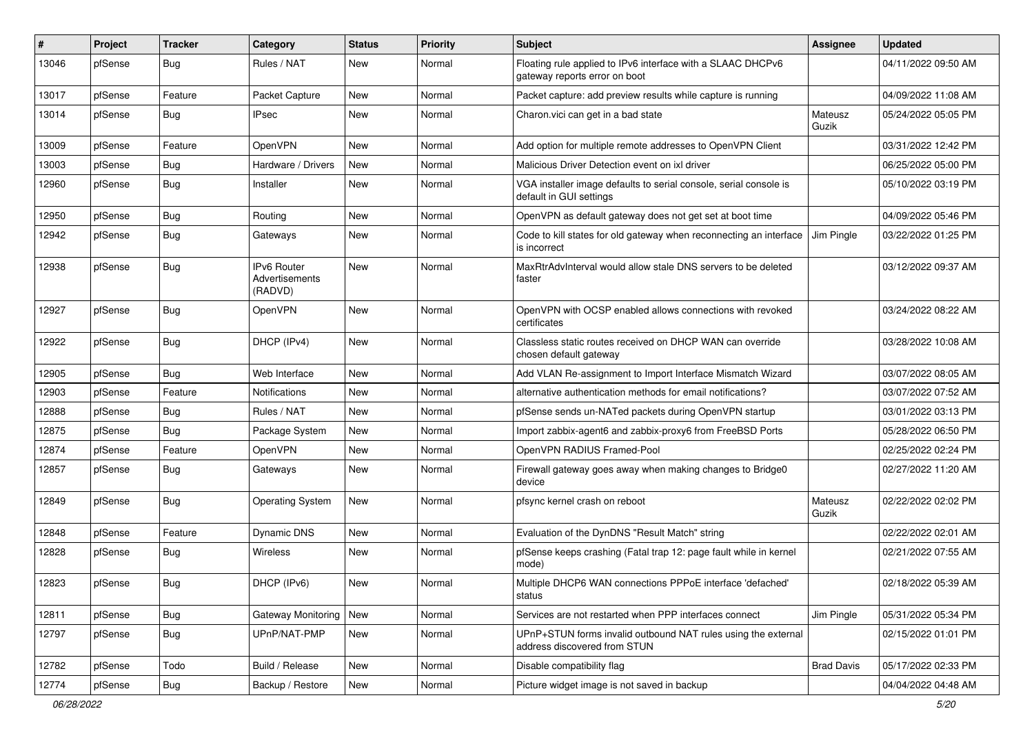| #     | Project | <b>Tracker</b> | Category                                        | <b>Status</b> | Priority | <b>Subject</b>                                                                                | Assignee          | <b>Updated</b>      |
|-------|---------|----------------|-------------------------------------------------|---------------|----------|-----------------------------------------------------------------------------------------------|-------------------|---------------------|
| 13046 | pfSense | <b>Bug</b>     | Rules / NAT                                     | New           | Normal   | Floating rule applied to IPv6 interface with a SLAAC DHCPv6<br>gateway reports error on boot  |                   | 04/11/2022 09:50 AM |
| 13017 | pfSense | Feature        | Packet Capture                                  | <b>New</b>    | Normal   | Packet capture: add preview results while capture is running                                  |                   | 04/09/2022 11:08 AM |
| 13014 | pfSense | <b>Bug</b>     | IPsec                                           | <b>New</b>    | Normal   | Charon. vici can get in a bad state                                                           | Mateusz<br>Guzik  | 05/24/2022 05:05 PM |
| 13009 | pfSense | Feature        | OpenVPN                                         | New           | Normal   | Add option for multiple remote addresses to OpenVPN Client                                    |                   | 03/31/2022 12:42 PM |
| 13003 | pfSense | <b>Bug</b>     | Hardware / Drivers                              | New           | Normal   | Malicious Driver Detection event on ixl driver                                                |                   | 06/25/2022 05:00 PM |
| 12960 | pfSense | <b>Bug</b>     | Installer                                       | <b>New</b>    | Normal   | VGA installer image defaults to serial console, serial console is<br>default in GUI settings  |                   | 05/10/2022 03:19 PM |
| 12950 | pfSense | <b>Bug</b>     | Routing                                         | <b>New</b>    | Normal   | OpenVPN as default gateway does not get set at boot time                                      |                   | 04/09/2022 05:46 PM |
| 12942 | pfSense | Bug            | Gateways                                        | New           | Normal   | Code to kill states for old gateway when reconnecting an interface<br>is incorrect            | Jim Pingle        | 03/22/2022 01:25 PM |
| 12938 | pfSense | <b>Bug</b>     | <b>IPv6 Router</b><br>Advertisements<br>(RADVD) | <b>New</b>    | Normal   | MaxRtrAdvInterval would allow stale DNS servers to be deleted<br>faster                       |                   | 03/12/2022 09:37 AM |
| 12927 | pfSense | Bug            | OpenVPN                                         | <b>New</b>    | Normal   | OpenVPN with OCSP enabled allows connections with revoked<br>certificates                     |                   | 03/24/2022 08:22 AM |
| 12922 | pfSense | Bug            | DHCP (IPv4)                                     | New           | Normal   | Classless static routes received on DHCP WAN can override<br>chosen default gateway           |                   | 03/28/2022 10:08 AM |
| 12905 | pfSense | Bug            | Web Interface                                   | New           | Normal   | Add VLAN Re-assignment to Import Interface Mismatch Wizard                                    |                   | 03/07/2022 08:05 AM |
| 12903 | pfSense | Feature        | Notifications                                   | <b>New</b>    | Normal   | alternative authentication methods for email notifications?                                   |                   | 03/07/2022 07:52 AM |
| 12888 | pfSense | <b>Bug</b>     | Rules / NAT                                     | New           | Normal   | pfSense sends un-NATed packets during OpenVPN startup                                         |                   | 03/01/2022 03:13 PM |
| 12875 | pfSense | <b>Bug</b>     | Package System                                  | New           | Normal   | Import zabbix-agent6 and zabbix-proxy6 from FreeBSD Ports                                     |                   | 05/28/2022 06:50 PM |
| 12874 | pfSense | Feature        | OpenVPN                                         | <b>New</b>    | Normal   | OpenVPN RADIUS Framed-Pool                                                                    |                   | 02/25/2022 02:24 PM |
| 12857 | pfSense | <b>Bug</b>     | Gateways                                        | New           | Normal   | Firewall gateway goes away when making changes to Bridge0<br>device                           |                   | 02/27/2022 11:20 AM |
| 12849 | pfSense | <b>Bug</b>     | <b>Operating System</b>                         | <b>New</b>    | Normal   | pfsync kernel crash on reboot                                                                 | Mateusz<br>Guzik  | 02/22/2022 02:02 PM |
| 12848 | pfSense | Feature        | Dynamic DNS                                     | <b>New</b>    | Normal   | Evaluation of the DynDNS "Result Match" string                                                |                   | 02/22/2022 02:01 AM |
| 12828 | pfSense | Bug            | Wireless                                        | New           | Normal   | pfSense keeps crashing (Fatal trap 12: page fault while in kernel<br>mode)                    |                   | 02/21/2022 07:55 AM |
| 12823 | pfSense | <b>Bug</b>     | DHCP (IPv6)                                     | New           | Normal   | Multiple DHCP6 WAN connections PPPoE interface 'defached'<br>status                           |                   | 02/18/2022 05:39 AM |
| 12811 | pfSense | Bug            | Gateway Monitoring                              | New           | Normal   | Services are not restarted when PPP interfaces connect                                        | Jim Pingle        | 05/31/2022 05:34 PM |
| 12797 | pfSense | <b>Bug</b>     | UPnP/NAT-PMP                                    | New           | Normal   | UPnP+STUN forms invalid outbound NAT rules using the external<br>address discovered from STUN |                   | 02/15/2022 01:01 PM |
| 12782 | pfSense | Todo           | Build / Release                                 | New           | Normal   | Disable compatibility flag                                                                    | <b>Brad Davis</b> | 05/17/2022 02:33 PM |
| 12774 | pfSense | <b>Bug</b>     | Backup / Restore                                | New           | Normal   | Picture widget image is not saved in backup                                                   |                   | 04/04/2022 04:48 AM |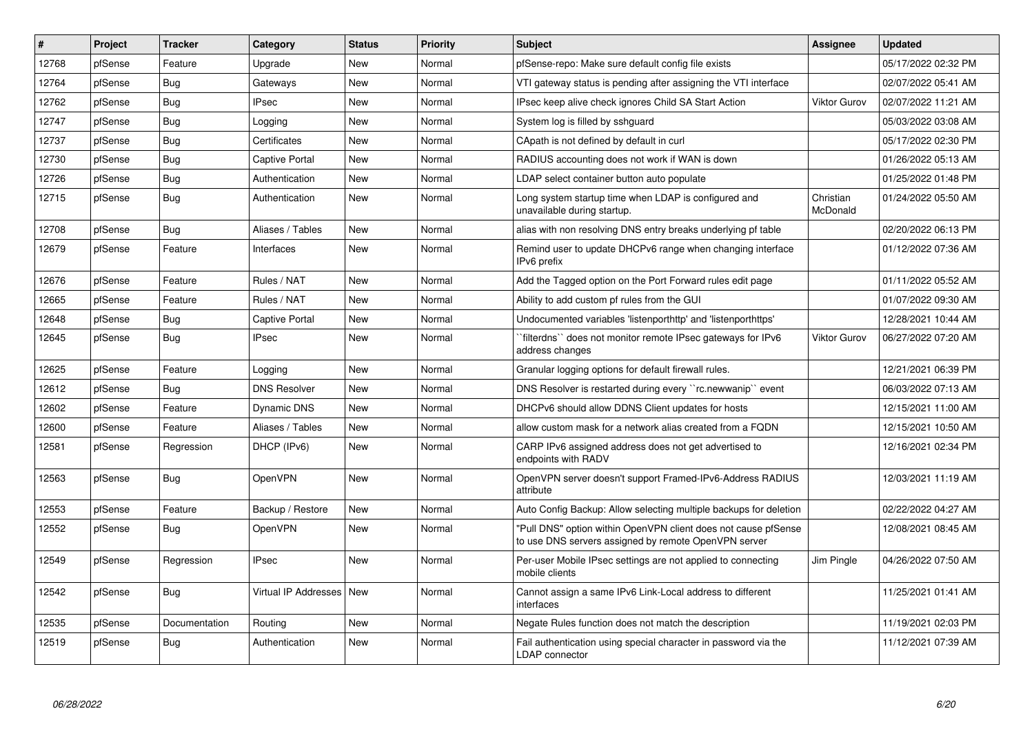| #     | Project | <b>Tracker</b> | Category                   | <b>Status</b> | Priority | <b>Subject</b>                                                                                                         | Assignee              | <b>Updated</b>      |
|-------|---------|----------------|----------------------------|---------------|----------|------------------------------------------------------------------------------------------------------------------------|-----------------------|---------------------|
| 12768 | pfSense | Feature        | Upgrade                    | <b>New</b>    | Normal   | pfSense-repo: Make sure default config file exists                                                                     |                       | 05/17/2022 02:32 PM |
| 12764 | pfSense | Bug            | Gateways                   | <b>New</b>    | Normal   | VTI gateway status is pending after assigning the VTI interface                                                        |                       | 02/07/2022 05:41 AM |
| 12762 | pfSense | <b>Bug</b>     | <b>IPsec</b>               | New           | Normal   | IPsec keep alive check ignores Child SA Start Action                                                                   | <b>Viktor Gurov</b>   | 02/07/2022 11:21 AM |
| 12747 | pfSense | <b>Bug</b>     | Logging                    | <b>New</b>    | Normal   | System log is filled by sshquard                                                                                       |                       | 05/03/2022 03:08 AM |
| 12737 | pfSense | Bug            | Certificates               | <b>New</b>    | Normal   | CApath is not defined by default in curl                                                                               |                       | 05/17/2022 02:30 PM |
| 12730 | pfSense | Bug            | Captive Portal             | <b>New</b>    | Normal   | RADIUS accounting does not work if WAN is down                                                                         |                       | 01/26/2022 05:13 AM |
| 12726 | pfSense | <b>Bug</b>     | Authentication             | <b>New</b>    | Normal   | LDAP select container button auto populate                                                                             |                       | 01/25/2022 01:48 PM |
| 12715 | pfSense | <b>Bug</b>     | Authentication             | <b>New</b>    | Normal   | Long system startup time when LDAP is configured and<br>unavailable during startup.                                    | Christian<br>McDonald | 01/24/2022 05:50 AM |
| 12708 | pfSense | <b>Bug</b>     | Aliases / Tables           | <b>New</b>    | Normal   | alias with non resolving DNS entry breaks underlying pf table                                                          |                       | 02/20/2022 06:13 PM |
| 12679 | pfSense | Feature        | Interfaces                 | <b>New</b>    | Normal   | Remind user to update DHCPv6 range when changing interface<br>IPv6 prefix                                              |                       | 01/12/2022 07:36 AM |
| 12676 | pfSense | Feature        | Rules / NAT                | <b>New</b>    | Normal   | Add the Tagged option on the Port Forward rules edit page                                                              |                       | 01/11/2022 05:52 AM |
| 12665 | pfSense | Feature        | Rules / NAT                | <b>New</b>    | Normal   | Ability to add custom pf rules from the GUI                                                                            |                       | 01/07/2022 09:30 AM |
| 12648 | pfSense | <b>Bug</b>     | Captive Portal             | New           | Normal   | Undocumented variables 'listenporthttp' and 'listenporthttps'                                                          |                       | 12/28/2021 10:44 AM |
| 12645 | pfSense | Bug            | <b>IPsec</b>               | <b>New</b>    | Normal   | `filterdns`` does not monitor remote IPsec gateways for IPv6<br>address changes                                        | Viktor Gurov          | 06/27/2022 07:20 AM |
| 12625 | pfSense | Feature        | Logging                    | <b>New</b>    | Normal   | Granular logging options for default firewall rules.                                                                   |                       | 12/21/2021 06:39 PM |
| 12612 | pfSense | <b>Bug</b>     | <b>DNS Resolver</b>        | <b>New</b>    | Normal   | DNS Resolver is restarted during every "rc.newwanip" event                                                             |                       | 06/03/2022 07:13 AM |
| 12602 | pfSense | Feature        | Dynamic DNS                | <b>New</b>    | Normal   | DHCPv6 should allow DDNS Client updates for hosts                                                                      |                       | 12/15/2021 11:00 AM |
| 12600 | pfSense | Feature        | Aliases / Tables           | <b>New</b>    | Normal   | allow custom mask for a network alias created from a FQDN                                                              |                       | 12/15/2021 10:50 AM |
| 12581 | pfSense | Regression     | DHCP (IPv6)                | <b>New</b>    | Normal   | CARP IPv6 assigned address does not get advertised to<br>endpoints with RADV                                           |                       | 12/16/2021 02:34 PM |
| 12563 | pfSense | <b>Bug</b>     | OpenVPN                    | <b>New</b>    | Normal   | OpenVPN server doesn't support Framed-IPv6-Address RADIUS<br>attribute                                                 |                       | 12/03/2021 11:19 AM |
| 12553 | pfSense | Feature        | Backup / Restore           | <b>New</b>    | Normal   | Auto Config Backup: Allow selecting multiple backups for deletion                                                      |                       | 02/22/2022 04:27 AM |
| 12552 | pfSense | Bug            | OpenVPN                    | <b>New</b>    | Normal   | "Pull DNS" option within OpenVPN client does not cause pfSense<br>to use DNS servers assigned by remote OpenVPN server |                       | 12/08/2021 08:45 AM |
| 12549 | pfSense | Regression     | <b>IPsec</b>               | New           | Normal   | Per-user Mobile IPsec settings are not applied to connecting<br>mobile clients                                         | Jim Pingle            | 04/26/2022 07:50 AM |
| 12542 | pfSense | Bug            | Virtual IP Addresses   New |               | Normal   | Cannot assign a same IPv6 Link-Local address to different<br>interfaces                                                |                       | 11/25/2021 01:41 AM |
| 12535 | pfSense | Documentation  | Routing                    | <b>New</b>    | Normal   | Negate Rules function does not match the description                                                                   |                       | 11/19/2021 02:03 PM |
| 12519 | pfSense | Bug            | Authentication             | <b>New</b>    | Normal   | Fail authentication using special character in password via the<br><b>LDAP</b> connector                               |                       | 11/12/2021 07:39 AM |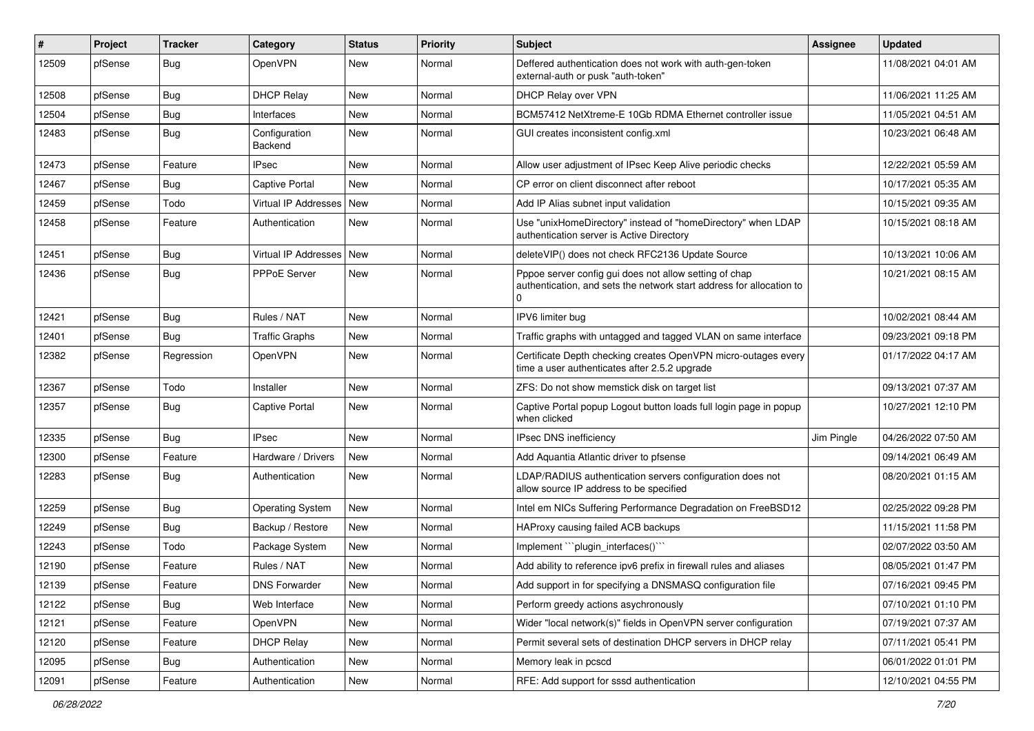| #     | Project | <b>Tracker</b> | Category                 | <b>Status</b> | <b>Priority</b> | Subject                                                                                                                             | <b>Assignee</b> | <b>Updated</b>      |
|-------|---------|----------------|--------------------------|---------------|-----------------|-------------------------------------------------------------------------------------------------------------------------------------|-----------------|---------------------|
| 12509 | pfSense | <b>Bug</b>     | OpenVPN                  | New           | Normal          | Deffered authentication does not work with auth-gen-token<br>external-auth or pusk "auth-token"                                     |                 | 11/08/2021 04:01 AM |
| 12508 | pfSense | <b>Bug</b>     | <b>DHCP Relay</b>        | New           | Normal          | DHCP Relay over VPN                                                                                                                 |                 | 11/06/2021 11:25 AM |
| 12504 | pfSense | <b>Bug</b>     | Interfaces               | <b>New</b>    | Normal          | BCM57412 NetXtreme-E 10Gb RDMA Ethernet controller issue                                                                            |                 | 11/05/2021 04:51 AM |
| 12483 | pfSense | <b>Bug</b>     | Configuration<br>Backend | New           | Normal          | GUI creates inconsistent config.xml                                                                                                 |                 | 10/23/2021 06:48 AM |
| 12473 | pfSense | Feature        | IPsec                    | New           | Normal          | Allow user adjustment of IPsec Keep Alive periodic checks                                                                           |                 | 12/22/2021 05:59 AM |
| 12467 | pfSense | <b>Bug</b>     | <b>Captive Portal</b>    | <b>New</b>    | Normal          | CP error on client disconnect after reboot                                                                                          |                 | 10/17/2021 05:35 AM |
| 12459 | pfSense | Todo           | Virtual IP Addresses     | New           | Normal          | Add IP Alias subnet input validation                                                                                                |                 | 10/15/2021 09:35 AM |
| 12458 | pfSense | Feature        | Authentication           | <b>New</b>    | Normal          | Use "unixHomeDirectory" instead of "homeDirectory" when LDAP<br>authentication server is Active Directory                           |                 | 10/15/2021 08:18 AM |
| 12451 | pfSense | <b>Bug</b>     | Virtual IP Addresses     | <b>New</b>    | Normal          | deleteVIP() does not check RFC2136 Update Source                                                                                    |                 | 10/13/2021 10:06 AM |
| 12436 | pfSense | <b>Bug</b>     | PPPoE Server             | New           | Normal          | Pppoe server config gui does not allow setting of chap<br>authentication, and sets the network start address for allocation to<br>U |                 | 10/21/2021 08:15 AM |
| 12421 | pfSense | Bug            | Rules / NAT              | <b>New</b>    | Normal          | IPV6 limiter bug                                                                                                                    |                 | 10/02/2021 08:44 AM |
| 12401 | pfSense | <b>Bug</b>     | <b>Traffic Graphs</b>    | <b>New</b>    | Normal          | Traffic graphs with untagged and tagged VLAN on same interface                                                                      |                 | 09/23/2021 09:18 PM |
| 12382 | pfSense | Regression     | OpenVPN                  | <b>New</b>    | Normal          | Certificate Depth checking creates OpenVPN micro-outages every<br>time a user authenticates after 2.5.2 upgrade                     |                 | 01/17/2022 04:17 AM |
| 12367 | pfSense | Todo           | Installer                | <b>New</b>    | Normal          | ZFS: Do not show memstick disk on target list                                                                                       |                 | 09/13/2021 07:37 AM |
| 12357 | pfSense | <b>Bug</b>     | Captive Portal           | <b>New</b>    | Normal          | Captive Portal popup Logout button loads full login page in popup<br>when clicked                                                   |                 | 10/27/2021 12:10 PM |
| 12335 | pfSense | <b>Bug</b>     | <b>IPsec</b>             | <b>New</b>    | Normal          | IPsec DNS inefficiency                                                                                                              | Jim Pingle      | 04/26/2022 07:50 AM |
| 12300 | pfSense | Feature        | Hardware / Drivers       | <b>New</b>    | Normal          | Add Aquantia Atlantic driver to pfsense                                                                                             |                 | 09/14/2021 06:49 AM |
| 12283 | pfSense | <b>Bug</b>     | Authentication           | <b>New</b>    | Normal          | LDAP/RADIUS authentication servers configuration does not<br>allow source IP address to be specified                                |                 | 08/20/2021 01:15 AM |
| 12259 | pfSense | <b>Bug</b>     | <b>Operating System</b>  | <b>New</b>    | Normal          | Intel em NICs Suffering Performance Degradation on FreeBSD12                                                                        |                 | 02/25/2022 09:28 PM |
| 12249 | pfSense | <b>Bug</b>     | Backup / Restore         | <b>New</b>    | Normal          | HAProxy causing failed ACB backups                                                                                                  |                 | 11/15/2021 11:58 PM |
| 12243 | pfSense | Todo           | Package System           | <b>New</b>    | Normal          | Implement "``plugin_interfaces()``                                                                                                  |                 | 02/07/2022 03:50 AM |
| 12190 | pfSense | Feature        | Rules / NAT              | New           | Normal          | Add ability to reference ipv6 prefix in firewall rules and aliases                                                                  |                 | 08/05/2021 01:47 PM |
| 12139 | pfSense | Feature        | <b>DNS Forwarder</b>     | New           | Normal          | Add support in for specifying a DNSMASQ configuration file                                                                          |                 | 07/16/2021 09:45 PM |
| 12122 | pfSense | Bug            | Web Interface            | New           | Normal          | Perform greedy actions asychronously                                                                                                |                 | 07/10/2021 01:10 PM |
| 12121 | pfSense | Feature        | OpenVPN                  | New           | Normal          | Wider "local network(s)" fields in OpenVPN server configuration                                                                     |                 | 07/19/2021 07:37 AM |
| 12120 | pfSense | Feature        | <b>DHCP Relay</b>        | New           | Normal          | Permit several sets of destination DHCP servers in DHCP relay                                                                       |                 | 07/11/2021 05:41 PM |
| 12095 | pfSense | Bug            | Authentication           | New           | Normal          | Memory leak in pcscd                                                                                                                |                 | 06/01/2022 01:01 PM |
| 12091 | pfSense | Feature        | Authentication           | New           | Normal          | RFE: Add support for sssd authentication                                                                                            |                 | 12/10/2021 04:55 PM |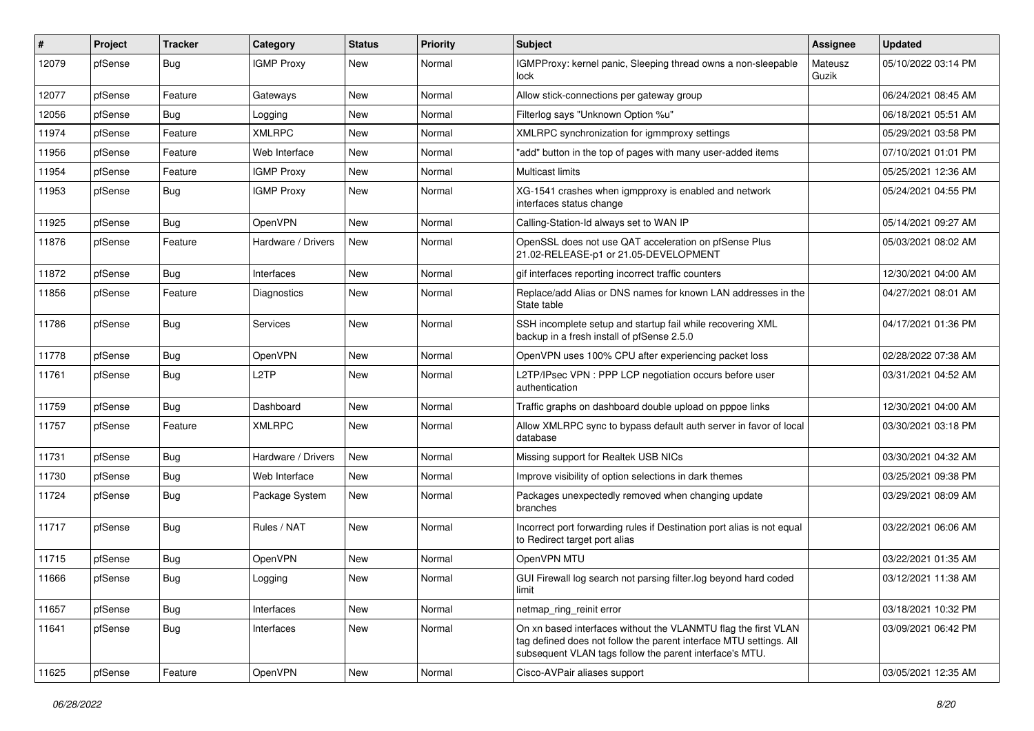| #     | Project | <b>Tracker</b> | Category           | <b>Status</b> | Priority | <b>Subject</b>                                                                                                                                                                                  | <b>Assignee</b>  | <b>Updated</b>      |
|-------|---------|----------------|--------------------|---------------|----------|-------------------------------------------------------------------------------------------------------------------------------------------------------------------------------------------------|------------------|---------------------|
| 12079 | pfSense | <b>Bug</b>     | <b>IGMP Proxy</b>  | New           | Normal   | IGMPProxy: kernel panic, Sleeping thread owns a non-sleepable<br>lock                                                                                                                           | Mateusz<br>Guzik | 05/10/2022 03:14 PM |
| 12077 | pfSense | Feature        | Gateways           | New           | Normal   | Allow stick-connections per gateway group                                                                                                                                                       |                  | 06/24/2021 08:45 AM |
| 12056 | pfSense | <b>Bug</b>     | Logging            | <b>New</b>    | Normal   | Filterlog says "Unknown Option %u"                                                                                                                                                              |                  | 06/18/2021 05:51 AM |
| 11974 | pfSense | Feature        | <b>XMLRPC</b>      | New           | Normal   | XMLRPC synchronization for igmmproxy settings                                                                                                                                                   |                  | 05/29/2021 03:58 PM |
| 11956 | pfSense | Feature        | Web Interface      | New           | Normal   | "add" button in the top of pages with many user-added items                                                                                                                                     |                  | 07/10/2021 01:01 PM |
| 11954 | pfSense | Feature        | <b>IGMP Proxy</b>  | New           | Normal   | Multicast limits                                                                                                                                                                                |                  | 05/25/2021 12:36 AM |
| 11953 | pfSense | Bug            | <b>IGMP Proxy</b>  | <b>New</b>    | Normal   | XG-1541 crashes when igmpproxy is enabled and network<br>interfaces status change                                                                                                               |                  | 05/24/2021 04:55 PM |
| 11925 | pfSense | Bug            | OpenVPN            | <b>New</b>    | Normal   | Calling-Station-Id always set to WAN IP                                                                                                                                                         |                  | 05/14/2021 09:27 AM |
| 11876 | pfSense | Feature        | Hardware / Drivers | New           | Normal   | OpenSSL does not use QAT acceleration on pfSense Plus<br>21.02-RELEASE-p1 or 21.05-DEVELOPMENT                                                                                                  |                  | 05/03/2021 08:02 AM |
| 11872 | pfSense | Bug            | Interfaces         | New           | Normal   | gif interfaces reporting incorrect traffic counters                                                                                                                                             |                  | 12/30/2021 04:00 AM |
| 11856 | pfSense | Feature        | Diagnostics        | New           | Normal   | Replace/add Alias or DNS names for known LAN addresses in the<br>State table                                                                                                                    |                  | 04/27/2021 08:01 AM |
| 11786 | pfSense | Bug            | Services           | New           | Normal   | SSH incomplete setup and startup fail while recovering XML<br>backup in a fresh install of pfSense 2.5.0                                                                                        |                  | 04/17/2021 01:36 PM |
| 11778 | pfSense | <b>Bug</b>     | OpenVPN            | New           | Normal   | OpenVPN uses 100% CPU after experiencing packet loss                                                                                                                                            |                  | 02/28/2022 07:38 AM |
| 11761 | pfSense | Bug            | L <sub>2</sub> TP  | New           | Normal   | L2TP/IPsec VPN : PPP LCP negotiation occurs before user<br>authentication                                                                                                                       |                  | 03/31/2021 04:52 AM |
| 11759 | pfSense | Bug            | Dashboard          | <b>New</b>    | Normal   | Traffic graphs on dashboard double upload on pppoe links                                                                                                                                        |                  | 12/30/2021 04:00 AM |
| 11757 | pfSense | Feature        | <b>XMLRPC</b>      | New           | Normal   | Allow XMLRPC sync to bypass default auth server in favor of local<br>database                                                                                                                   |                  | 03/30/2021 03:18 PM |
| 11731 | pfSense | Bug            | Hardware / Drivers | New           | Normal   | Missing support for Realtek USB NICs                                                                                                                                                            |                  | 03/30/2021 04:32 AM |
| 11730 | pfSense | Bug            | Web Interface      | <b>New</b>    | Normal   | Improve visibility of option selections in dark themes                                                                                                                                          |                  | 03/25/2021 09:38 PM |
| 11724 | pfSense | <b>Bug</b>     | Package System     | New           | Normal   | Packages unexpectedly removed when changing update<br>branches                                                                                                                                  |                  | 03/29/2021 08:09 AM |
| 11717 | pfSense | Bug            | Rules / NAT        | New           | Normal   | Incorrect port forwarding rules if Destination port alias is not equal<br>to Redirect target port alias                                                                                         |                  | 03/22/2021 06:06 AM |
| 11715 | pfSense | Bug            | OpenVPN            | New           | Normal   | OpenVPN MTU                                                                                                                                                                                     |                  | 03/22/2021 01:35 AM |
| 11666 | pfSense | Bug            | Logging            | <b>New</b>    | Normal   | GUI Firewall log search not parsing filter.log beyond hard coded<br>limit                                                                                                                       |                  | 03/12/2021 11:38 AM |
| 11657 | pfSense | Bug            | Interfaces         | New           | Normal   | netmap_ring_reinit error                                                                                                                                                                        |                  | 03/18/2021 10:32 PM |
| 11641 | pfSense | Bug            | Interfaces         | New           | Normal   | On xn based interfaces without the VLANMTU flag the first VLAN<br>tag defined does not follow the parent interface MTU settings. All<br>subsequent VLAN tags follow the parent interface's MTU. |                  | 03/09/2021 06:42 PM |
| 11625 | pfSense | Feature        | OpenVPN            | New           | Normal   | Cisco-AVPair aliases support                                                                                                                                                                    |                  | 03/05/2021 12:35 AM |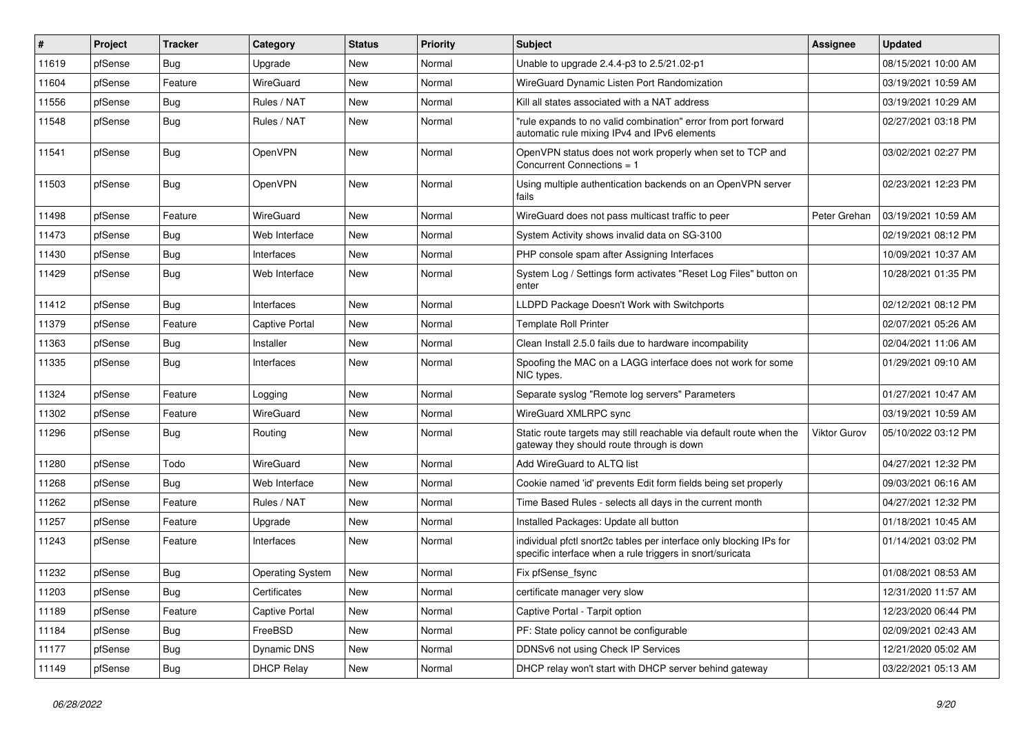| #     | Project | <b>Tracker</b> | Category                | <b>Status</b> | <b>Priority</b> | Subject                                                                                                                          | <b>Assignee</b>     | <b>Updated</b>      |
|-------|---------|----------------|-------------------------|---------------|-----------------|----------------------------------------------------------------------------------------------------------------------------------|---------------------|---------------------|
| 11619 | pfSense | <b>Bug</b>     | Upgrade                 | New           | Normal          | Unable to upgrade 2.4.4-p3 to 2.5/21.02-p1                                                                                       |                     | 08/15/2021 10:00 AM |
| 11604 | pfSense | Feature        | WireGuard               | <b>New</b>    | Normal          | WireGuard Dynamic Listen Port Randomization                                                                                      |                     | 03/19/2021 10:59 AM |
| 11556 | pfSense | Bug            | Rules / NAT             | New           | Normal          | Kill all states associated with a NAT address                                                                                    |                     | 03/19/2021 10:29 AM |
| 11548 | pfSense | <b>Bug</b>     | Rules / NAT             | <b>New</b>    | Normal          | "rule expands to no valid combination" error from port forward<br>automatic rule mixing IPv4 and IPv6 elements                   |                     | 02/27/2021 03:18 PM |
| 11541 | pfSense | <b>Bug</b>     | OpenVPN                 | <b>New</b>    | Normal          | OpenVPN status does not work properly when set to TCP and<br>Concurrent Connections = 1                                          |                     | 03/02/2021 02:27 PM |
| 11503 | pfSense | <b>Bug</b>     | OpenVPN                 | <b>New</b>    | Normal          | Using multiple authentication backends on an OpenVPN server<br>fails                                                             |                     | 02/23/2021 12:23 PM |
| 11498 | pfSense | Feature        | WireGuard               | New           | Normal          | WireGuard does not pass multicast traffic to peer                                                                                | Peter Grehan        | 03/19/2021 10:59 AM |
| 11473 | pfSense | Bug            | Web Interface           | New           | Normal          | System Activity shows invalid data on SG-3100                                                                                    |                     | 02/19/2021 08:12 PM |
| 11430 | pfSense | <b>Bug</b>     | Interfaces              | <b>New</b>    | Normal          | PHP console spam after Assigning Interfaces                                                                                      |                     | 10/09/2021 10:37 AM |
| 11429 | pfSense | <b>Bug</b>     | Web Interface           | New           | Normal          | System Log / Settings form activates "Reset Log Files" button on<br>enter                                                        |                     | 10/28/2021 01:35 PM |
| 11412 | pfSense | Bug            | Interfaces              | <b>New</b>    | Normal          | LLDPD Package Doesn't Work with Switchports                                                                                      |                     | 02/12/2021 08:12 PM |
| 11379 | pfSense | Feature        | Captive Portal          | <b>New</b>    | Normal          | <b>Template Roll Printer</b>                                                                                                     |                     | 02/07/2021 05:26 AM |
| 11363 | pfSense | Bug            | Installer               | New           | Normal          | Clean Install 2.5.0 fails due to hardware incompability                                                                          |                     | 02/04/2021 11:06 AM |
| 11335 | pfSense | <b>Bug</b>     | Interfaces              | New           | Normal          | Spoofing the MAC on a LAGG interface does not work for some<br>NIC types.                                                        |                     | 01/29/2021 09:10 AM |
| 11324 | pfSense | Feature        | Logging                 | <b>New</b>    | Normal          | Separate syslog "Remote log servers" Parameters                                                                                  |                     | 01/27/2021 10:47 AM |
| 11302 | pfSense | Feature        | WireGuard               | New           | Normal          | WireGuard XMLRPC sync                                                                                                            |                     | 03/19/2021 10:59 AM |
| 11296 | pfSense | <b>Bug</b>     | Routing                 | New           | Normal          | Static route targets may still reachable via default route when the<br>gateway they should route through is down                 | <b>Viktor Gurov</b> | 05/10/2022 03:12 PM |
| 11280 | pfSense | Todo           | WireGuard               | <b>New</b>    | Normal          | Add WireGuard to ALTQ list                                                                                                       |                     | 04/27/2021 12:32 PM |
| 11268 | pfSense | Bug            | Web Interface           | New           | Normal          | Cookie named 'id' prevents Edit form fields being set properly                                                                   |                     | 09/03/2021 06:16 AM |
| 11262 | pfSense | Feature        | Rules / NAT             | <b>New</b>    | Normal          | Time Based Rules - selects all days in the current month                                                                         |                     | 04/27/2021 12:32 PM |
| 11257 | pfSense | Feature        | Upgrade                 | New           | Normal          | Installed Packages: Update all button                                                                                            |                     | 01/18/2021 10:45 AM |
| 11243 | pfSense | Feature        | Interfaces              | New           | Normal          | individual pfctl snort2c tables per interface only blocking IPs for<br>specific interface when a rule triggers in snort/suricata |                     | 01/14/2021 03:02 PM |
| 11232 | pfSense | Bug            | <b>Operating System</b> | New           | Normal          | Fix pfSense fsync                                                                                                                |                     | 01/08/2021 08:53 AM |
| 11203 | pfSense | Bug            | Certificates            | New           | Normal          | certificate manager very slow                                                                                                    |                     | 12/31/2020 11:57 AM |
| 11189 | pfSense | Feature        | Captive Portal          | New           | Normal          | Captive Portal - Tarpit option                                                                                                   |                     | 12/23/2020 06:44 PM |
| 11184 | pfSense | Bug            | FreeBSD                 | New           | Normal          | PF: State policy cannot be configurable                                                                                          |                     | 02/09/2021 02:43 AM |
| 11177 | pfSense | <b>Bug</b>     | Dynamic DNS             | New           | Normal          | DDNSv6 not using Check IP Services                                                                                               |                     | 12/21/2020 05:02 AM |
| 11149 | pfSense | Bug            | <b>DHCP Relay</b>       | New           | Normal          | DHCP relay won't start with DHCP server behind gateway                                                                           |                     | 03/22/2021 05:13 AM |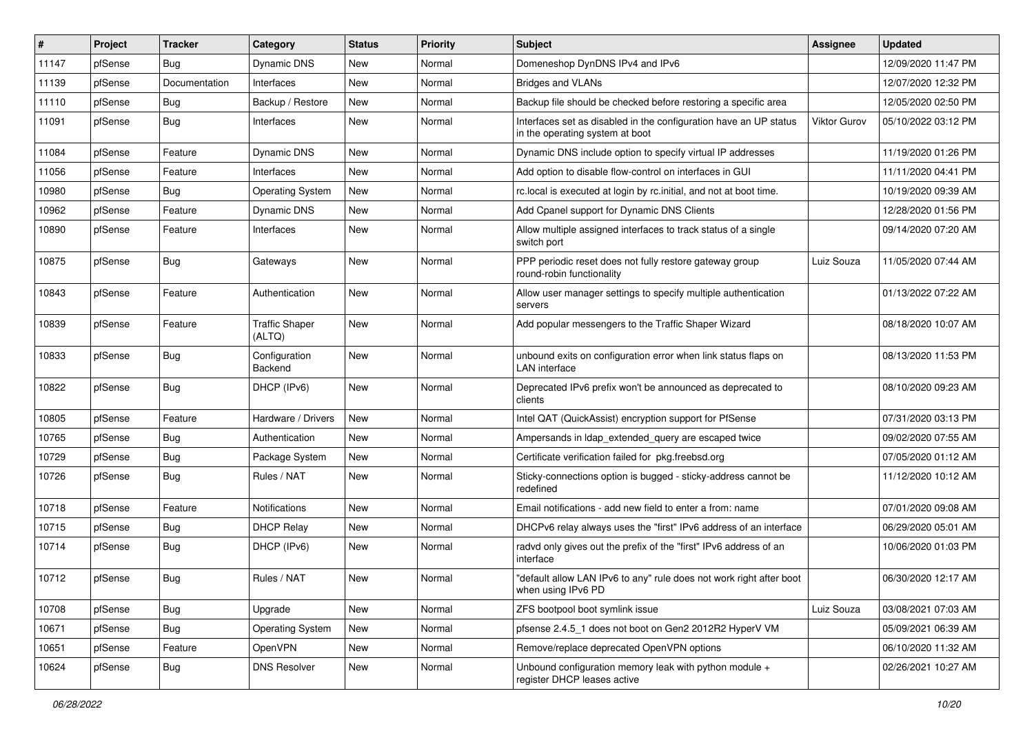| #     | Project | <b>Tracker</b> | Category                        | <b>Status</b> | <b>Priority</b> | Subject                                                                                              | <b>Assignee</b> | <b>Updated</b>      |
|-------|---------|----------------|---------------------------------|---------------|-----------------|------------------------------------------------------------------------------------------------------|-----------------|---------------------|
| 11147 | pfSense | Bug            | Dynamic DNS                     | New           | Normal          | Domeneshop DynDNS IPv4 and IPv6                                                                      |                 | 12/09/2020 11:47 PM |
| 11139 | pfSense | Documentation  | Interfaces                      | <b>New</b>    | Normal          | <b>Bridges and VLANs</b>                                                                             |                 | 12/07/2020 12:32 PM |
| 11110 | pfSense | <b>Bug</b>     | Backup / Restore                | New           | Normal          | Backup file should be checked before restoring a specific area                                       |                 | 12/05/2020 02:50 PM |
| 11091 | pfSense | <b>Bug</b>     | Interfaces                      | <b>New</b>    | Normal          | Interfaces set as disabled in the configuration have an UP status<br>in the operating system at boot | Viktor Gurov    | 05/10/2022 03:12 PM |
| 11084 | pfSense | Feature        | Dynamic DNS                     | New           | Normal          | Dynamic DNS include option to specify virtual IP addresses                                           |                 | 11/19/2020 01:26 PM |
| 11056 | pfSense | Feature        | Interfaces                      | <b>New</b>    | Normal          | Add option to disable flow-control on interfaces in GUI                                              |                 | 11/11/2020 04:41 PM |
| 10980 | pfSense | Bug            | <b>Operating System</b>         | <b>New</b>    | Normal          | rc.local is executed at login by rc.initial, and not at boot time.                                   |                 | 10/19/2020 09:39 AM |
| 10962 | pfSense | Feature        | Dynamic DNS                     | New           | Normal          | Add Cpanel support for Dynamic DNS Clients                                                           |                 | 12/28/2020 01:56 PM |
| 10890 | pfSense | Feature        | Interfaces                      | <b>New</b>    | Normal          | Allow multiple assigned interfaces to track status of a single<br>switch port                        |                 | 09/14/2020 07:20 AM |
| 10875 | pfSense | <b>Bug</b>     | Gateways                        | <b>New</b>    | Normal          | PPP periodic reset does not fully restore gateway group<br>round-robin functionality                 | Luiz Souza      | 11/05/2020 07:44 AM |
| 10843 | pfSense | Feature        | Authentication                  | <b>New</b>    | Normal          | Allow user manager settings to specify multiple authentication<br>servers                            |                 | 01/13/2022 07:22 AM |
| 10839 | pfSense | Feature        | <b>Traffic Shaper</b><br>(ALTQ) | <b>New</b>    | Normal          | Add popular messengers to the Traffic Shaper Wizard                                                  |                 | 08/18/2020 10:07 AM |
| 10833 | pfSense | <b>Bug</b>     | Configuration<br>Backend        | New           | Normal          | unbound exits on configuration error when link status flaps on<br><b>LAN</b> interface               |                 | 08/13/2020 11:53 PM |
| 10822 | pfSense | <b>Bug</b>     | DHCP (IPv6)                     | <b>New</b>    | Normal          | Deprecated IPv6 prefix won't be announced as deprecated to<br>clients                                |                 | 08/10/2020 09:23 AM |
| 10805 | pfSense | Feature        | Hardware / Drivers              | New           | Normal          | Intel QAT (QuickAssist) encryption support for PfSense                                               |                 | 07/31/2020 03:13 PM |
| 10765 | pfSense | <b>Bug</b>     | Authentication                  | <b>New</b>    | Normal          | Ampersands in Idap_extended_query are escaped twice                                                  |                 | 09/02/2020 07:55 AM |
| 10729 | pfSense | Bug            | Package System                  | <b>New</b>    | Normal          | Certificate verification failed for pkg.freebsd.org                                                  |                 | 07/05/2020 01:12 AM |
| 10726 | pfSense | <b>Bug</b>     | Rules / NAT                     | <b>New</b>    | Normal          | Sticky-connections option is bugged - sticky-address cannot be<br>redefined                          |                 | 11/12/2020 10:12 AM |
| 10718 | pfSense | Feature        | Notifications                   | <b>New</b>    | Normal          | Email notifications - add new field to enter a from: name                                            |                 | 07/01/2020 09:08 AM |
| 10715 | pfSense | <b>Bug</b>     | <b>DHCP Relay</b>               | New           | Normal          | DHCPv6 relay always uses the "first" IPv6 address of an interface                                    |                 | 06/29/2020 05:01 AM |
| 10714 | pfSense | <b>Bug</b>     | DHCP (IPv6)                     | <b>New</b>    | Normal          | radvd only gives out the prefix of the "first" IPv6 address of an<br>interface                       |                 | 10/06/2020 01:03 PM |
| 10712 | pfSense | Bug            | Rules / NAT                     | <b>New</b>    | Normal          | "default allow LAN IPv6 to any" rule does not work right after boot<br>when using IPv6 PD            |                 | 06/30/2020 12:17 AM |
| 10708 | pfSense | Bug            | Upgrade                         | New           | Normal          | ZFS bootpool boot symlink issue                                                                      | Luiz Souza      | 03/08/2021 07:03 AM |
| 10671 | pfSense | <b>Bug</b>     | <b>Operating System</b>         | New           | Normal          | pfsense 2.4.5_1 does not boot on Gen2 2012R2 HyperV VM                                               |                 | 05/09/2021 06:39 AM |
| 10651 | pfSense | Feature        | OpenVPN                         | New           | Normal          | Remove/replace deprecated OpenVPN options                                                            |                 | 06/10/2020 11:32 AM |
| 10624 | pfSense | <b>Bug</b>     | <b>DNS Resolver</b>             | New           | Normal          | Unbound configuration memory leak with python module +<br>register DHCP leases active                |                 | 02/26/2021 10:27 AM |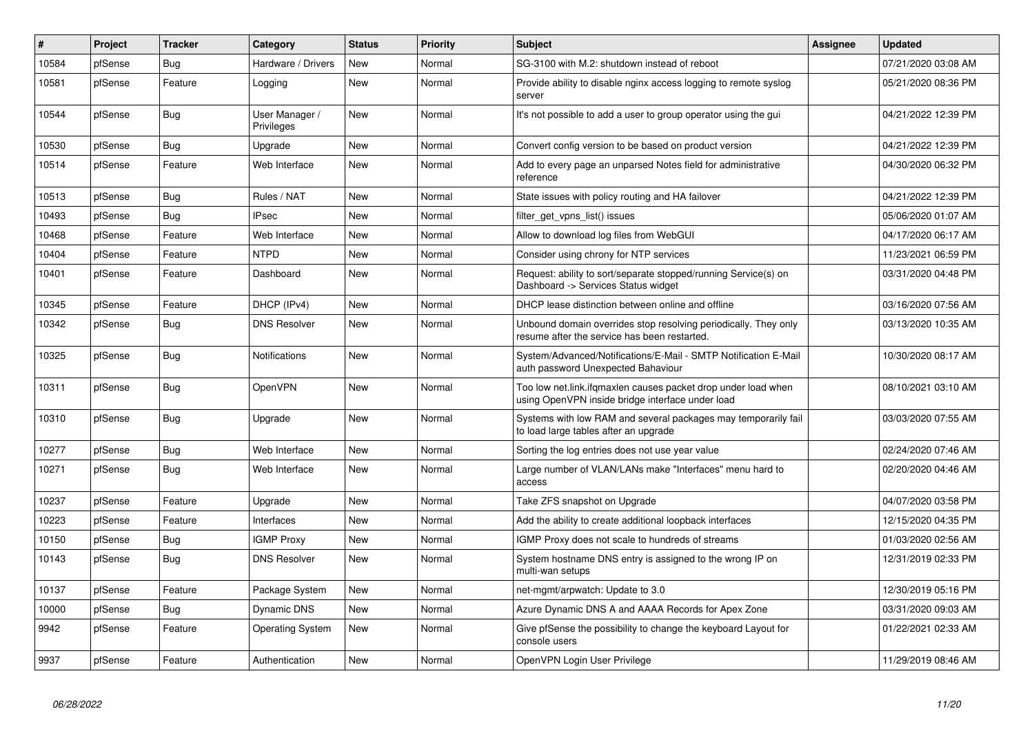| #     | <b>Project</b> | <b>Tracker</b> | Category                     | <b>Status</b> | Priority | <b>Subject</b>                                                                                                    | <b>Assignee</b> | <b>Updated</b>      |
|-------|----------------|----------------|------------------------------|---------------|----------|-------------------------------------------------------------------------------------------------------------------|-----------------|---------------------|
| 10584 | pfSense        | Bug            | Hardware / Drivers           | <b>New</b>    | Normal   | SG-3100 with M.2: shutdown instead of reboot                                                                      |                 | 07/21/2020 03:08 AM |
| 10581 | pfSense        | Feature        | Logging                      | <b>New</b>    | Normal   | Provide ability to disable nginx access logging to remote syslog<br>server                                        |                 | 05/21/2020 08:36 PM |
| 10544 | pfSense        | Bug            | User Manager /<br>Privileges | <b>New</b>    | Normal   | It's not possible to add a user to group operator using the gui                                                   |                 | 04/21/2022 12:39 PM |
| 10530 | pfSense        | Bug            | Upgrade                      | New           | Normal   | Convert config version to be based on product version                                                             |                 | 04/21/2022 12:39 PM |
| 10514 | pfSense        | Feature        | Web Interface                | New           | Normal   | Add to every page an unparsed Notes field for administrative<br>reference                                         |                 | 04/30/2020 06:32 PM |
| 10513 | pfSense        | <b>Bug</b>     | Rules / NAT                  | <b>New</b>    | Normal   | State issues with policy routing and HA failover                                                                  |                 | 04/21/2022 12:39 PM |
| 10493 | pfSense        | <b>Bug</b>     | <b>IPsec</b>                 | <b>New</b>    | Normal   | filter get vpns list() issues                                                                                     |                 | 05/06/2020 01:07 AM |
| 10468 | pfSense        | Feature        | Web Interface                | <b>New</b>    | Normal   | Allow to download log files from WebGUI                                                                           |                 | 04/17/2020 06:17 AM |
| 10404 | pfSense        | Feature        | <b>NTPD</b>                  | <b>New</b>    | Normal   | Consider using chrony for NTP services                                                                            |                 | 11/23/2021 06:59 PM |
| 10401 | pfSense        | Feature        | Dashboard                    | New           | Normal   | Request: ability to sort/separate stopped/running Service(s) on<br>Dashboard -> Services Status widget            |                 | 03/31/2020 04:48 PM |
| 10345 | pfSense        | Feature        | DHCP (IPv4)                  | <b>New</b>    | Normal   | DHCP lease distinction between online and offline                                                                 |                 | 03/16/2020 07:56 AM |
| 10342 | pfSense        | <b>Bug</b>     | <b>DNS Resolver</b>          | <b>New</b>    | Normal   | Unbound domain overrides stop resolving periodically. They only<br>resume after the service has been restarted.   |                 | 03/13/2020 10:35 AM |
| 10325 | pfSense        | Bug            | <b>Notifications</b>         | New           | Normal   | System/Advanced/Notifications/E-Mail - SMTP Notification E-Mail<br>auth password Unexpected Bahaviour             |                 | 10/30/2020 08:17 AM |
| 10311 | pfSense        | Bug            | OpenVPN                      | <b>New</b>    | Normal   | Too low net.link.ifgmaxlen causes packet drop under load when<br>using OpenVPN inside bridge interface under load |                 | 08/10/2021 03:10 AM |
| 10310 | pfSense        | Bug            | Upgrade                      | <b>New</b>    | Normal   | Systems with low RAM and several packages may temporarily fail<br>to load large tables after an upgrade           |                 | 03/03/2020 07:55 AM |
| 10277 | pfSense        | Bug            | Web Interface                | <b>New</b>    | Normal   | Sorting the log entries does not use year value                                                                   |                 | 02/24/2020 07:46 AM |
| 10271 | pfSense        | Bug            | Web Interface                | New           | Normal   | Large number of VLAN/LANs make "Interfaces" menu hard to<br>access                                                |                 | 02/20/2020 04:46 AM |
| 10237 | pfSense        | Feature        | Upgrade                      | <b>New</b>    | Normal   | Take ZFS snapshot on Upgrade                                                                                      |                 | 04/07/2020 03:58 PM |
| 10223 | pfSense        | Feature        | Interfaces                   | <b>New</b>    | Normal   | Add the ability to create additional loopback interfaces                                                          |                 | 12/15/2020 04:35 PM |
| 10150 | pfSense        | Bug            | <b>IGMP Proxy</b>            | <b>New</b>    | Normal   | IGMP Proxy does not scale to hundreds of streams                                                                  |                 | 01/03/2020 02:56 AM |
| 10143 | pfSense        | <b>Bug</b>     | <b>DNS Resolver</b>          | <b>New</b>    | Normal   | System hostname DNS entry is assigned to the wrong IP on<br>multi-wan setups                                      |                 | 12/31/2019 02:33 PM |
| 10137 | pfSense        | Feature        | Package System               | <b>New</b>    | Normal   | net-mgmt/arpwatch: Update to 3.0                                                                                  |                 | 12/30/2019 05:16 PM |
| 10000 | pfSense        | Bug            | Dynamic DNS                  | <b>New</b>    | Normal   | Azure Dynamic DNS A and AAAA Records for Apex Zone                                                                |                 | 03/31/2020 09:03 AM |
| 9942  | pfSense        | Feature        | <b>Operating System</b>      | <b>New</b>    | Normal   | Give pfSense the possibility to change the keyboard Layout for<br>console users                                   |                 | 01/22/2021 02:33 AM |
| 9937  | pfSense        | Feature        | Authentication               | New           | Normal   | OpenVPN Login User Privilege                                                                                      |                 | 11/29/2019 08:46 AM |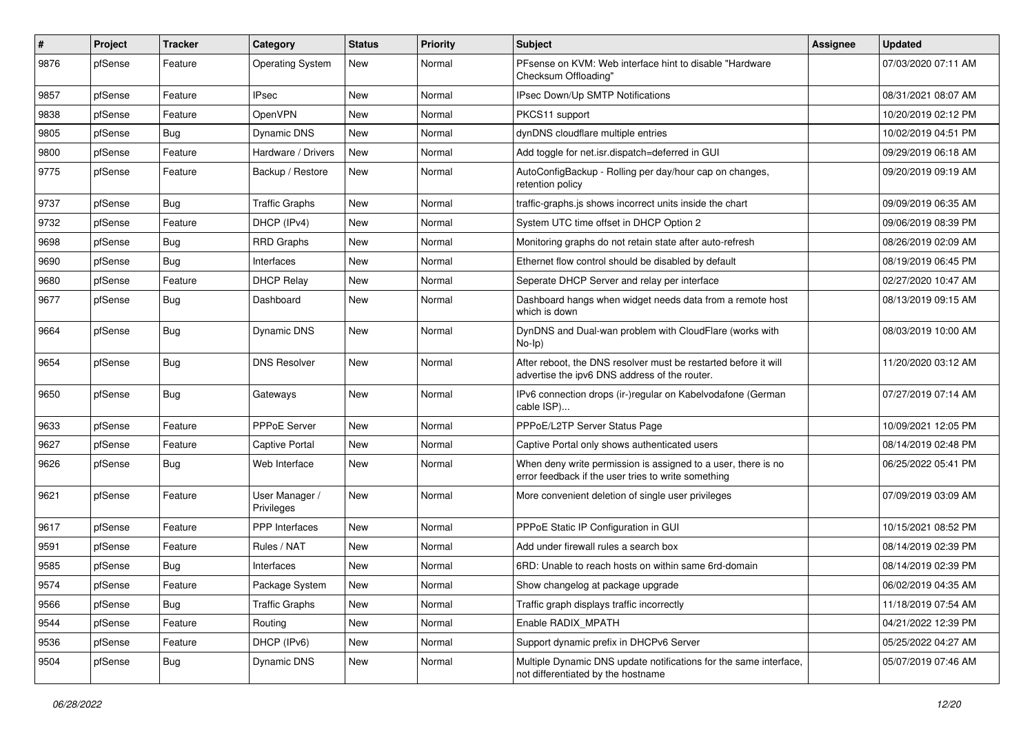| $\sharp$ | <b>Project</b> | <b>Tracker</b> | Category                     | <b>Status</b> | <b>Priority</b> | <b>Subject</b>                                                                                                       | <b>Assignee</b> | <b>Updated</b>      |
|----------|----------------|----------------|------------------------------|---------------|-----------------|----------------------------------------------------------------------------------------------------------------------|-----------------|---------------------|
| 9876     | pfSense        | Feature        | <b>Operating System</b>      | New           | Normal          | PFsense on KVM: Web interface hint to disable "Hardware"<br>Checksum Offloading"                                     |                 | 07/03/2020 07:11 AM |
| 9857     | pfSense        | Feature        | <b>IPsec</b>                 | <b>New</b>    | Normal          | IPsec Down/Up SMTP Notifications                                                                                     |                 | 08/31/2021 08:07 AM |
| 9838     | pfSense        | Feature        | OpenVPN                      | New           | Normal          | PKCS11 support                                                                                                       |                 | 10/20/2019 02:12 PM |
| 9805     | pfSense        | <b>Bug</b>     | Dynamic DNS                  | <b>New</b>    | Normal          | dynDNS cloudflare multiple entries                                                                                   |                 | 10/02/2019 04:51 PM |
| 9800     | pfSense        | Feature        | Hardware / Drivers           | New           | Normal          | Add toggle for net.isr.dispatch=deferred in GUI                                                                      |                 | 09/29/2019 06:18 AM |
| 9775     | pfSense        | Feature        | Backup / Restore             | New           | Normal          | AutoConfigBackup - Rolling per day/hour cap on changes,<br>retention policy                                          |                 | 09/20/2019 09:19 AM |
| 9737     | pfSense        | Bug            | <b>Traffic Graphs</b>        | <b>New</b>    | Normal          | traffic-graphs.js shows incorrect units inside the chart                                                             |                 | 09/09/2019 06:35 AM |
| 9732     | pfSense        | Feature        | DHCP (IPv4)                  | <b>New</b>    | Normal          | System UTC time offset in DHCP Option 2                                                                              |                 | 09/06/2019 08:39 PM |
| 9698     | pfSense        | Bug            | RRD Graphs                   | New           | Normal          | Monitoring graphs do not retain state after auto-refresh                                                             |                 | 08/26/2019 02:09 AM |
| 9690     | pfSense        | <b>Bug</b>     | Interfaces                   | New           | Normal          | Ethernet flow control should be disabled by default                                                                  |                 | 08/19/2019 06:45 PM |
| 9680     | pfSense        | Feature        | <b>DHCP Relay</b>            | <b>New</b>    | Normal          | Seperate DHCP Server and relay per interface                                                                         |                 | 02/27/2020 10:47 AM |
| 9677     | pfSense        | Bug            | Dashboard                    | New           | Normal          | Dashboard hangs when widget needs data from a remote host<br>which is down                                           |                 | 08/13/2019 09:15 AM |
| 9664     | pfSense        | Bug            | <b>Dynamic DNS</b>           | New           | Normal          | DynDNS and Dual-wan problem with CloudFlare (works with<br>$No-Ip)$                                                  |                 | 08/03/2019 10:00 AM |
| 9654     | pfSense        | <b>Bug</b>     | <b>DNS Resolver</b>          | <b>New</b>    | Normal          | After reboot, the DNS resolver must be restarted before it will<br>advertise the ipv6 DNS address of the router.     |                 | 11/20/2020 03:12 AM |
| 9650     | pfSense        | Bug            | Gateways                     | <b>New</b>    | Normal          | IPv6 connection drops (ir-)regular on Kabelvodafone (German<br>cable ISP)                                            |                 | 07/27/2019 07:14 AM |
| 9633     | pfSense        | Feature        | <b>PPPoE Server</b>          | <b>New</b>    | Normal          | PPPoE/L2TP Server Status Page                                                                                        |                 | 10/09/2021 12:05 PM |
| 9627     | pfSense        | Feature        | <b>Captive Portal</b>        | New           | Normal          | Captive Portal only shows authenticated users                                                                        |                 | 08/14/2019 02:48 PM |
| 9626     | pfSense        | Bug            | Web Interface                | <b>New</b>    | Normal          | When deny write permission is assigned to a user, there is no<br>error feedback if the user tries to write something |                 | 06/25/2022 05:41 PM |
| 9621     | pfSense        | Feature        | User Manager /<br>Privileges | <b>New</b>    | Normal          | More convenient deletion of single user privileges                                                                   |                 | 07/09/2019 03:09 AM |
| 9617     | pfSense        | Feature        | PPP Interfaces               | <b>New</b>    | Normal          | PPPoE Static IP Configuration in GUI                                                                                 |                 | 10/15/2021 08:52 PM |
| 9591     | pfSense        | Feature        | Rules / NAT                  | <b>New</b>    | Normal          | Add under firewall rules a search box                                                                                |                 | 08/14/2019 02:39 PM |
| 9585     | pfSense        | <b>Bug</b>     | Interfaces                   | New           | Normal          | 6RD: Unable to reach hosts on within same 6rd-domain                                                                 |                 | 08/14/2019 02:39 PM |
| 9574     | pfSense        | Feature        | Package System               | New           | Normal          | Show changelog at package upgrade                                                                                    |                 | 06/02/2019 04:35 AM |
| 9566     | pfSense        | Bug            | <b>Traffic Graphs</b>        | New           | Normal          | Traffic graph displays traffic incorrectly                                                                           |                 | 11/18/2019 07:54 AM |
| 9544     | pfSense        | Feature        | Routing                      | New           | Normal          | Enable RADIX MPATH                                                                                                   |                 | 04/21/2022 12:39 PM |
| 9536     | pfSense        | Feature        | DHCP (IPv6)                  | New           | Normal          | Support dynamic prefix in DHCPv6 Server                                                                              |                 | 05/25/2022 04:27 AM |
| 9504     | pfSense        | Bug            | Dynamic DNS                  | New           | Normal          | Multiple Dynamic DNS update notifications for the same interface,<br>not differentiated by the hostname              |                 | 05/07/2019 07:46 AM |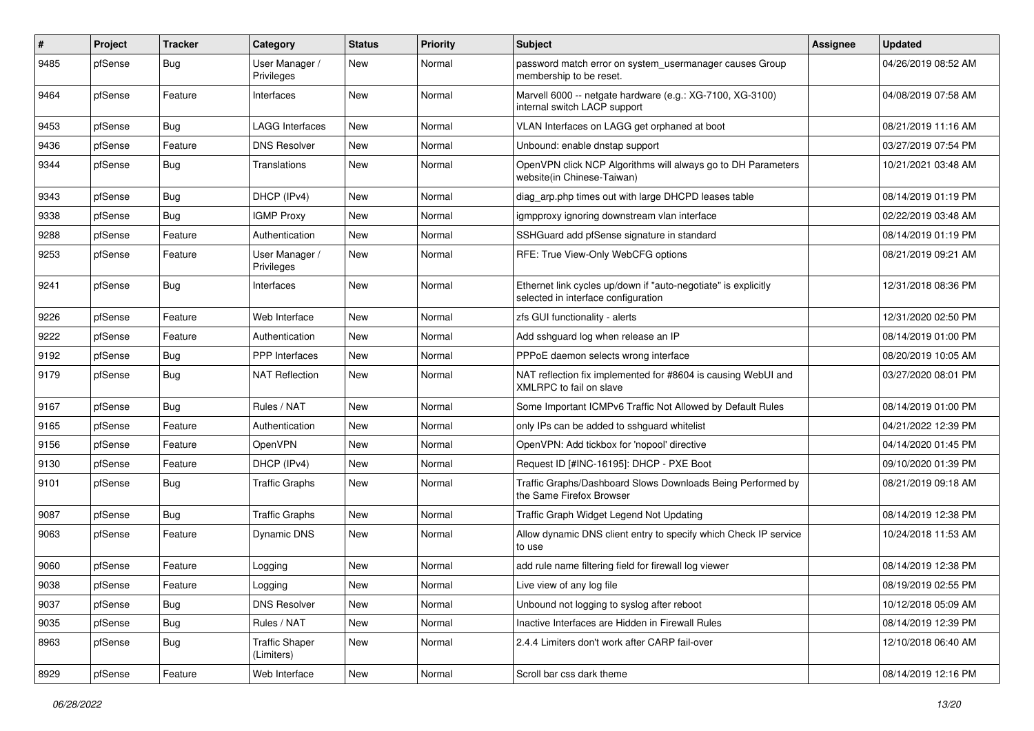| ∦    | Project | <b>Tracker</b> | Category                            | <b>Status</b> | <b>Priority</b> | <b>Subject</b>                                                                                        | Assignee | <b>Updated</b>      |
|------|---------|----------------|-------------------------------------|---------------|-----------------|-------------------------------------------------------------------------------------------------------|----------|---------------------|
| 9485 | pfSense | Bug            | User Manager /<br>Privileges        | New           | Normal          | password match error on system_usermanager causes Group<br>membership to be reset.                    |          | 04/26/2019 08:52 AM |
| 9464 | pfSense | Feature        | Interfaces                          | New           | Normal          | Marvell 6000 -- netgate hardware (e.g.: XG-7100, XG-3100)<br>internal switch LACP support             |          | 04/08/2019 07:58 AM |
| 9453 | pfSense | Bug            | <b>LAGG Interfaces</b>              | <b>New</b>    | Normal          | VLAN Interfaces on LAGG get orphaned at boot                                                          |          | 08/21/2019 11:16 AM |
| 9436 | pfSense | Feature        | <b>DNS Resolver</b>                 | New           | Normal          | Unbound: enable dnstap support                                                                        |          | 03/27/2019 07:54 PM |
| 9344 | pfSense | <b>Bug</b>     | Translations                        | New           | Normal          | OpenVPN click NCP Algorithms will always go to DH Parameters<br>website(in Chinese-Taiwan)            |          | 10/21/2021 03:48 AM |
| 9343 | pfSense | Bug            | DHCP (IPv4)                         | <b>New</b>    | Normal          | diag_arp.php times out with large DHCPD leases table                                                  |          | 08/14/2019 01:19 PM |
| 9338 | pfSense | <b>Bug</b>     | <b>IGMP Proxy</b>                   | New           | Normal          | igmpproxy ignoring downstream vlan interface                                                          |          | 02/22/2019 03:48 AM |
| 9288 | pfSense | Feature        | Authentication                      | New           | Normal          | SSHGuard add pfSense signature in standard                                                            |          | 08/14/2019 01:19 PM |
| 9253 | pfSense | Feature        | User Manager /<br>Privileges        | New           | Normal          | RFE: True View-Only WebCFG options                                                                    |          | 08/21/2019 09:21 AM |
| 9241 | pfSense | <b>Bug</b>     | Interfaces                          | New           | Normal          | Ethernet link cycles up/down if "auto-negotiate" is explicitly<br>selected in interface configuration |          | 12/31/2018 08:36 PM |
| 9226 | pfSense | Feature        | Web Interface                       | New           | Normal          | zfs GUI functionality - alerts                                                                        |          | 12/31/2020 02:50 PM |
| 9222 | pfSense | Feature        | Authentication                      | <b>New</b>    | Normal          | Add sshguard log when release an IP                                                                   |          | 08/14/2019 01:00 PM |
| 9192 | pfSense | <b>Bug</b>     | <b>PPP</b> Interfaces               | <b>New</b>    | Normal          | PPPoE daemon selects wrong interface                                                                  |          | 08/20/2019 10:05 AM |
| 9179 | pfSense | Bug            | <b>NAT Reflection</b>               | New           | Normal          | NAT reflection fix implemented for #8604 is causing WebUI and<br>XMLRPC to fail on slave              |          | 03/27/2020 08:01 PM |
| 9167 | pfSense | Bug            | Rules / NAT                         | <b>New</b>    | Normal          | Some Important ICMPv6 Traffic Not Allowed by Default Rules                                            |          | 08/14/2019 01:00 PM |
| 9165 | pfSense | Feature        | Authentication                      | New           | Normal          | only IPs can be added to sshguard whitelist                                                           |          | 04/21/2022 12:39 PM |
| 9156 | pfSense | Feature        | OpenVPN                             | New           | Normal          | OpenVPN: Add tickbox for 'nopool' directive                                                           |          | 04/14/2020 01:45 PM |
| 9130 | pfSense | Feature        | DHCP (IPv4)                         | New           | Normal          | Request ID [#INC-16195]: DHCP - PXE Boot                                                              |          | 09/10/2020 01:39 PM |
| 9101 | pfSense | <b>Bug</b>     | <b>Traffic Graphs</b>               | <b>New</b>    | Normal          | Traffic Graphs/Dashboard Slows Downloads Being Performed by<br>the Same Firefox Browser               |          | 08/21/2019 09:18 AM |
| 9087 | pfSense | Bug            | <b>Traffic Graphs</b>               | New           | Normal          | Traffic Graph Widget Legend Not Updating                                                              |          | 08/14/2019 12:38 PM |
| 9063 | pfSense | Feature        | Dynamic DNS                         | New           | Normal          | Allow dynamic DNS client entry to specify which Check IP service<br>to use                            |          | 10/24/2018 11:53 AM |
| 9060 | pfSense | Feature        | Logging                             | New           | Normal          | add rule name filtering field for firewall log viewer                                                 |          | 08/14/2019 12:38 PM |
| 9038 | pfSense | Feature        | Logging                             | New           | Normal          | Live view of any log file                                                                             |          | 08/19/2019 02:55 PM |
| 9037 | pfSense | Bug            | <b>DNS Resolver</b>                 | New           | Normal          | Unbound not logging to syslog after reboot                                                            |          | 10/12/2018 05:09 AM |
| 9035 | pfSense | <b>Bug</b>     | Rules / NAT                         | New           | Normal          | Inactive Interfaces are Hidden in Firewall Rules                                                      |          | 08/14/2019 12:39 PM |
| 8963 | pfSense | <b>Bug</b>     | <b>Traffic Shaper</b><br>(Limiters) | New           | Normal          | 2.4.4 Limiters don't work after CARP fail-over                                                        |          | 12/10/2018 06:40 AM |
| 8929 | pfSense | Feature        | Web Interface                       | New           | Normal          | Scroll bar css dark theme                                                                             |          | 08/14/2019 12:16 PM |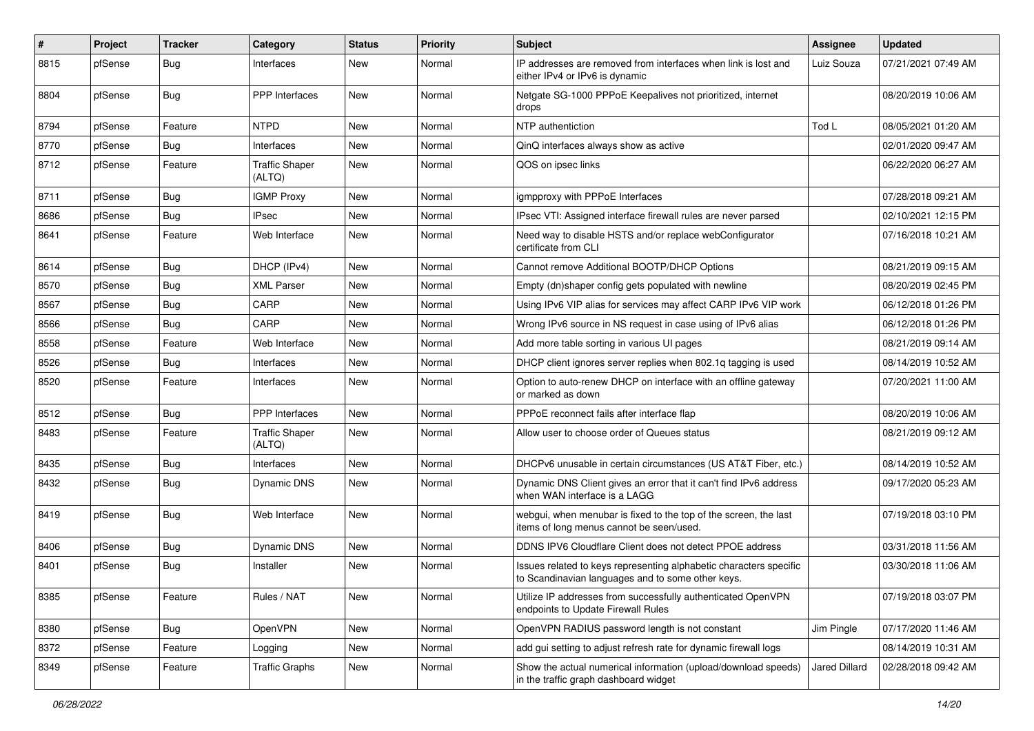| #    | Project | <b>Tracker</b> | Category                        | <b>Status</b> | <b>Priority</b> | <b>Subject</b>                                                                                                          | <b>Assignee</b> | <b>Updated</b>      |
|------|---------|----------------|---------------------------------|---------------|-----------------|-------------------------------------------------------------------------------------------------------------------------|-----------------|---------------------|
| 8815 | pfSense | <b>Bug</b>     | Interfaces                      | <b>New</b>    | Normal          | IP addresses are removed from interfaces when link is lost and<br>either IPv4 or IPv6 is dynamic                        | Luiz Souza      | 07/21/2021 07:49 AM |
| 8804 | pfSense | Bug            | <b>PPP</b> Interfaces           | <b>New</b>    | Normal          | Netgate SG-1000 PPPoE Keepalives not prioritized, internet<br>drops                                                     |                 | 08/20/2019 10:06 AM |
| 8794 | pfSense | Feature        | <b>NTPD</b>                     | <b>New</b>    | Normal          | NTP authentiction                                                                                                       | Tod L           | 08/05/2021 01:20 AM |
| 8770 | pfSense | Bug            | Interfaces                      | New           | Normal          | QinQ interfaces always show as active                                                                                   |                 | 02/01/2020 09:47 AM |
| 8712 | pfSense | Feature        | <b>Traffic Shaper</b><br>(ALTQ) | New           | Normal          | QOS on ipsec links                                                                                                      |                 | 06/22/2020 06:27 AM |
| 8711 | pfSense | Bug            | <b>IGMP Proxy</b>               | <b>New</b>    | Normal          | igmpproxy with PPPoE Interfaces                                                                                         |                 | 07/28/2018 09:21 AM |
| 8686 | pfSense | <b>Bug</b>     | <b>IPsec</b>                    | <b>New</b>    | Normal          | IPsec VTI: Assigned interface firewall rules are never parsed                                                           |                 | 02/10/2021 12:15 PM |
| 8641 | pfSense | Feature        | Web Interface                   | New           | Normal          | Need way to disable HSTS and/or replace webConfigurator<br>certificate from CLI                                         |                 | 07/16/2018 10:21 AM |
| 8614 | pfSense | Bug            | DHCP (IPv4)                     | <b>New</b>    | Normal          | Cannot remove Additional BOOTP/DHCP Options                                                                             |                 | 08/21/2019 09:15 AM |
| 8570 | pfSense | Bug            | <b>XML Parser</b>               | New           | Normal          | Empty (dn)shaper config gets populated with newline                                                                     |                 | 08/20/2019 02:45 PM |
| 8567 | pfSense | Bug            | CARP                            | <b>New</b>    | Normal          | Using IPv6 VIP alias for services may affect CARP IPv6 VIP work                                                         |                 | 06/12/2018 01:26 PM |
| 8566 | pfSense | Bug            | CARP                            | New           | Normal          | Wrong IPv6 source in NS request in case using of IPv6 alias                                                             |                 | 06/12/2018 01:26 PM |
| 8558 | pfSense | Feature        | Web Interface                   | <b>New</b>    | Normal          | Add more table sorting in various UI pages                                                                              |                 | 08/21/2019 09:14 AM |
| 8526 | pfSense | Bug            | Interfaces                      | <b>New</b>    | Normal          | DHCP client ignores server replies when 802.1q tagging is used                                                          |                 | 08/14/2019 10:52 AM |
| 8520 | pfSense | Feature        | Interfaces                      | New           | Normal          | Option to auto-renew DHCP on interface with an offline gateway<br>or marked as down                                     |                 | 07/20/2021 11:00 AM |
| 8512 | pfSense | Bug            | <b>PPP</b> Interfaces           | <b>New</b>    | Normal          | PPPoE reconnect fails after interface flap                                                                              |                 | 08/20/2019 10:06 AM |
| 8483 | pfSense | Feature        | <b>Traffic Shaper</b><br>(ALTQ) | New           | Normal          | Allow user to choose order of Queues status                                                                             |                 | 08/21/2019 09:12 AM |
| 8435 | pfSense | <b>Bug</b>     | Interfaces                      | <b>New</b>    | Normal          | DHCPv6 unusable in certain circumstances (US AT&T Fiber, etc.)                                                          |                 | 08/14/2019 10:52 AM |
| 8432 | pfSense | <b>Bug</b>     | Dynamic DNS                     | <b>New</b>    | Normal          | Dynamic DNS Client gives an error that it can't find IPv6 address<br>when WAN interface is a LAGG                       |                 | 09/17/2020 05:23 AM |
| 8419 | pfSense | Bug            | Web Interface                   | <b>New</b>    | Normal          | webgui, when menubar is fixed to the top of the screen, the last<br>items of long menus cannot be seen/used.            |                 | 07/19/2018 03:10 PM |
| 8406 | pfSense | Bug            | Dynamic DNS                     | <b>New</b>    | Normal          | DDNS IPV6 Cloudflare Client does not detect PPOE address                                                                |                 | 03/31/2018 11:56 AM |
| 8401 | pfSense | Bug            | Installer                       | New           | Normal          | Issues related to keys representing alphabetic characters specific<br>to Scandinavian languages and to some other keys. |                 | 03/30/2018 11:06 AM |
| 8385 | pfSense | Feature        | Rules / NAT                     | New           | Normal          | Utilize IP addresses from successfully authenticated OpenVPN<br>endpoints to Update Firewall Rules                      |                 | 07/19/2018 03:07 PM |
| 8380 | pfSense | <b>Bug</b>     | OpenVPN                         | New           | Normal          | OpenVPN RADIUS password length is not constant                                                                          | Jim Pingle      | 07/17/2020 11:46 AM |
| 8372 | pfSense | Feature        | Logging                         | New           | Normal          | add gui setting to adjust refresh rate for dynamic firewall logs                                                        |                 | 08/14/2019 10:31 AM |
| 8349 | pfSense | Feature        | <b>Traffic Graphs</b>           | New           | Normal          | Show the actual numerical information (upload/download speeds)<br>in the traffic graph dashboard widget                 | Jared Dillard   | 02/28/2018 09:42 AM |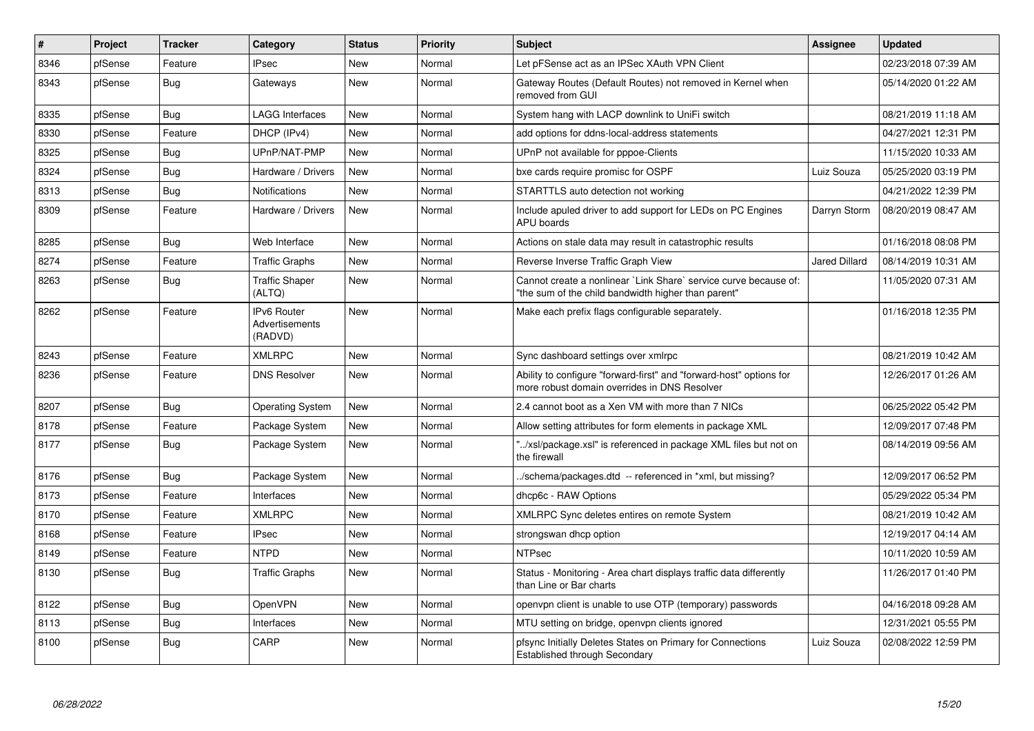| #    | <b>Project</b> | <b>Tracker</b> | Category                                 | <b>Status</b> | <b>Priority</b> | <b>Subject</b>                                                                                                          | Assignee             | <b>Updated</b>      |
|------|----------------|----------------|------------------------------------------|---------------|-----------------|-------------------------------------------------------------------------------------------------------------------------|----------------------|---------------------|
| 8346 | pfSense        | Feature        | <b>IPsec</b>                             | <b>New</b>    | Normal          | Let pFSense act as an IPSec XAuth VPN Client                                                                            |                      | 02/23/2018 07:39 AM |
| 8343 | pfSense        | Bug            | Gateways                                 | New           | Normal          | Gateway Routes (Default Routes) not removed in Kernel when<br>removed from GUI                                          |                      | 05/14/2020 01:22 AM |
| 8335 | pfSense        | <b>Bug</b>     | <b>LAGG Interfaces</b>                   | <b>New</b>    | Normal          | System hang with LACP downlink to UniFi switch                                                                          |                      | 08/21/2019 11:18 AM |
| 8330 | pfSense        | Feature        | DHCP (IPv4)                              | <b>New</b>    | Normal          | add options for ddns-local-address statements                                                                           |                      | 04/27/2021 12:31 PM |
| 8325 | pfSense        | <b>Bug</b>     | UPnP/NAT-PMP                             | <b>New</b>    | Normal          | UPnP not available for pppoe-Clients                                                                                    |                      | 11/15/2020 10:33 AM |
| 8324 | pfSense        | <b>Bug</b>     | Hardware / Drivers                       | <b>New</b>    | Normal          | bxe cards require promisc for OSPF                                                                                      | Luiz Souza           | 05/25/2020 03:19 PM |
| 8313 | pfSense        | Bug            | Notifications                            | <b>New</b>    | Normal          | STARTTLS auto detection not working                                                                                     |                      | 04/21/2022 12:39 PM |
| 8309 | pfSense        | Feature        | Hardware / Drivers                       | <b>New</b>    | Normal          | Include apuled driver to add support for LEDs on PC Engines<br>APU boards                                               | Darryn Storm         | 08/20/2019 08:47 AM |
| 8285 | pfSense        | Bug            | Web Interface                            | <b>New</b>    | Normal          | Actions on stale data may result in catastrophic results                                                                |                      | 01/16/2018 08:08 PM |
| 8274 | pfSense        | Feature        | <b>Traffic Graphs</b>                    | <b>New</b>    | Normal          | Reverse Inverse Traffic Graph View                                                                                      | <b>Jared Dillard</b> | 08/14/2019 10:31 AM |
| 8263 | pfSense        | <b>Bug</b>     | <b>Traffic Shaper</b><br>(ALTQ)          | <b>New</b>    | Normal          | Cannot create a nonlinear `Link Share` service curve because of:<br>"the sum of the child bandwidth higher than parent" |                      | 11/05/2020 07:31 AM |
| 8262 | pfSense        | Feature        | IPv6 Router<br>Advertisements<br>(RADVD) | <b>New</b>    | Normal          | Make each prefix flags configurable separately.                                                                         |                      | 01/16/2018 12:35 PM |
| 8243 | pfSense        | Feature        | <b>XMLRPC</b>                            | <b>New</b>    | Normal          | Sync dashboard settings over xmlrpc                                                                                     |                      | 08/21/2019 10:42 AM |
| 8236 | pfSense        | Feature        | <b>DNS Resolver</b>                      | <b>New</b>    | Normal          | Ability to configure "forward-first" and "forward-host" options for<br>more robust domain overrides in DNS Resolver     |                      | 12/26/2017 01:26 AM |
| 8207 | pfSense        | <b>Bug</b>     | <b>Operating System</b>                  | <b>New</b>    | Normal          | 2.4 cannot boot as a Xen VM with more than 7 NICs                                                                       |                      | 06/25/2022 05:42 PM |
| 8178 | pfSense        | Feature        | Package System                           | <b>New</b>    | Normal          | Allow setting attributes for form elements in package XML                                                               |                      | 12/09/2017 07:48 PM |
| 8177 | pfSense        | Bug            | Package System                           | <b>New</b>    | Normal          | "/xsl/package.xsl" is referenced in package XML files but not on<br>the firewall                                        |                      | 08/14/2019 09:56 AM |
| 8176 | pfSense        | Bug            | Package System                           | <b>New</b>    | Normal          | ./schema/packages.dtd -- referenced in *xml, but missing?                                                               |                      | 12/09/2017 06:52 PM |
| 8173 | pfSense        | Feature        | Interfaces                               | <b>New</b>    | Normal          | dhcp6c - RAW Options                                                                                                    |                      | 05/29/2022 05:34 PM |
| 8170 | pfSense        | Feature        | <b>XMLRPC</b>                            | <b>New</b>    | Normal          | XMLRPC Sync deletes entires on remote System                                                                            |                      | 08/21/2019 10:42 AM |
| 8168 | pfSense        | Feature        | <b>IPsec</b>                             | <b>New</b>    | Normal          | strongswan dhcp option                                                                                                  |                      | 12/19/2017 04:14 AM |
| 8149 | pfSense        | Feature        | <b>NTPD</b>                              | <b>New</b>    | Normal          | <b>NTPsec</b>                                                                                                           |                      | 10/11/2020 10:59 AM |
| 8130 | pfSense        | Bug            | <b>Traffic Graphs</b>                    | New           | Normal          | Status - Monitoring - Area chart displays traffic data differently<br>than Line or Bar charts                           |                      | 11/26/2017 01:40 PM |
| 8122 | pfSense        | Bug            | OpenVPN                                  | <b>New</b>    | Normal          | openvpn client is unable to use OTP (temporary) passwords                                                               |                      | 04/16/2018 09:28 AM |
| 8113 | pfSense        | Bug            | Interfaces                               | <b>New</b>    | Normal          | MTU setting on bridge, openypn clients ignored                                                                          |                      | 12/31/2021 05:55 PM |
| 8100 | pfSense        | <b>Bug</b>     | CARP                                     | New           | Normal          | pfsync Initially Deletes States on Primary for Connections<br><b>Established through Secondary</b>                      | Luiz Souza           | 02/08/2022 12:59 PM |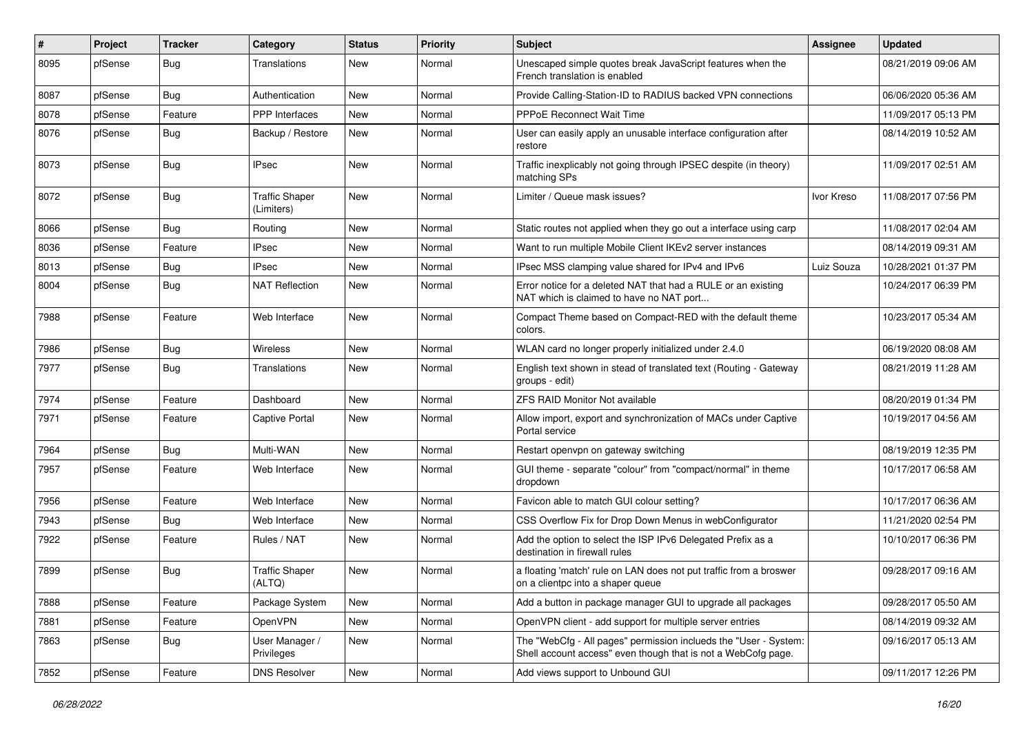| #    | Project | <b>Tracker</b> | Category                            | <b>Status</b> | <b>Priority</b> | <b>Subject</b>                                                                                                                    | <b>Assignee</b> | <b>Updated</b>      |
|------|---------|----------------|-------------------------------------|---------------|-----------------|-----------------------------------------------------------------------------------------------------------------------------------|-----------------|---------------------|
| 8095 | pfSense | Bug            | Translations                        | New           | Normal          | Unescaped simple quotes break JavaScript features when the<br>French translation is enabled                                       |                 | 08/21/2019 09:06 AM |
| 8087 | pfSense | Bug            | Authentication                      | New           | Normal          | Provide Calling-Station-ID to RADIUS backed VPN connections                                                                       |                 | 06/06/2020 05:36 AM |
| 8078 | pfSense | Feature        | <b>PPP</b> Interfaces               | <b>New</b>    | Normal          | PPPoE Reconnect Wait Time                                                                                                         |                 | 11/09/2017 05:13 PM |
| 8076 | pfSense | Bug            | Backup / Restore                    | <b>New</b>    | Normal          | User can easily apply an unusable interface configuration after<br>restore                                                        |                 | 08/14/2019 10:52 AM |
| 8073 | pfSense | <b>Bug</b>     | IPsec                               | New           | Normal          | Traffic inexplicably not going through IPSEC despite (in theory)<br>matching SPs                                                  |                 | 11/09/2017 02:51 AM |
| 8072 | pfSense | Bug            | <b>Traffic Shaper</b><br>(Limiters) | New           | Normal          | Limiter / Queue mask issues?                                                                                                      | Ivor Kreso      | 11/08/2017 07:56 PM |
| 8066 | pfSense | Bug            | Routing                             | New           | Normal          | Static routes not applied when they go out a interface using carp                                                                 |                 | 11/08/2017 02:04 AM |
| 8036 | pfSense | Feature        | <b>IPsec</b>                        | <b>New</b>    | Normal          | Want to run multiple Mobile Client IKEv2 server instances                                                                         |                 | 08/14/2019 09:31 AM |
| 8013 | pfSense | <b>Bug</b>     | IPsec                               | New           | Normal          | IPsec MSS clamping value shared for IPv4 and IPv6                                                                                 | Luiz Souza      | 10/28/2021 01:37 PM |
| 8004 | pfSense | Bug            | <b>NAT Reflection</b>               | New           | Normal          | Error notice for a deleted NAT that had a RULE or an existing<br>NAT which is claimed to have no NAT port                         |                 | 10/24/2017 06:39 PM |
| 7988 | pfSense | Feature        | Web Interface                       | <b>New</b>    | Normal          | Compact Theme based on Compact-RED with the default theme<br>colors.                                                              |                 | 10/23/2017 05:34 AM |
| 7986 | pfSense | Bug            | <b>Wireless</b>                     | <b>New</b>    | Normal          | WLAN card no longer properly initialized under 2.4.0                                                                              |                 | 06/19/2020 08:08 AM |
| 7977 | pfSense | Bug            | Translations                        | New           | Normal          | English text shown in stead of translated text (Routing - Gateway<br>groups - edit)                                               |                 | 08/21/2019 11:28 AM |
| 7974 | pfSense | Feature        | Dashboard                           | <b>New</b>    | Normal          | <b>ZFS RAID Monitor Not available</b>                                                                                             |                 | 08/20/2019 01:34 PM |
| 7971 | pfSense | Feature        | Captive Portal                      | New           | Normal          | Allow import, export and synchronization of MACs under Captive<br>Portal service                                                  |                 | 10/19/2017 04:56 AM |
| 7964 | pfSense | Bug            | Multi-WAN                           | <b>New</b>    | Normal          | Restart openvpn on gateway switching                                                                                              |                 | 08/19/2019 12:35 PM |
| 7957 | pfSense | Feature        | Web Interface                       | New           | Normal          | GUI theme - separate "colour" from "compact/normal" in theme<br>dropdown                                                          |                 | 10/17/2017 06:58 AM |
| 7956 | pfSense | Feature        | Web Interface                       | <b>New</b>    | Normal          | Favicon able to match GUI colour setting?                                                                                         |                 | 10/17/2017 06:36 AM |
| 7943 | pfSense | Bug            | Web Interface                       | New           | Normal          | CSS Overflow Fix for Drop Down Menus in webConfigurator                                                                           |                 | 11/21/2020 02:54 PM |
| 7922 | pfSense | Feature        | Rules / NAT                         | <b>New</b>    | Normal          | Add the option to select the ISP IPv6 Delegated Prefix as a<br>destination in firewall rules                                      |                 | 10/10/2017 06:36 PM |
| 7899 | pfSense | Bug            | <b>Traffic Shaper</b><br>(ALTQ)     | <b>New</b>    | Normal          | a floating 'match' rule on LAN does not put traffic from a broswer<br>on a clientpc into a shaper queue                           |                 | 09/28/2017 09:16 AM |
| 7888 | pfSense | Feature        | Package System                      | New           | Normal          | Add a button in package manager GUI to upgrade all packages                                                                       |                 | 09/28/2017 05:50 AM |
| 7881 | pfSense | Feature        | OpenVPN                             | New           | Normal          | OpenVPN client - add support for multiple server entries                                                                          |                 | 08/14/2019 09:32 AM |
| 7863 | pfSense | <b>Bug</b>     | User Manager /<br>Privileges        | New           | Normal          | The "WebCfg - All pages" permission inclueds the "User - System:<br>Shell account access" even though that is not a WebCofg page. |                 | 09/16/2017 05:13 AM |
| 7852 | pfSense | Feature        | <b>DNS Resolver</b>                 | New           | Normal          | Add views support to Unbound GUI                                                                                                  |                 | 09/11/2017 12:26 PM |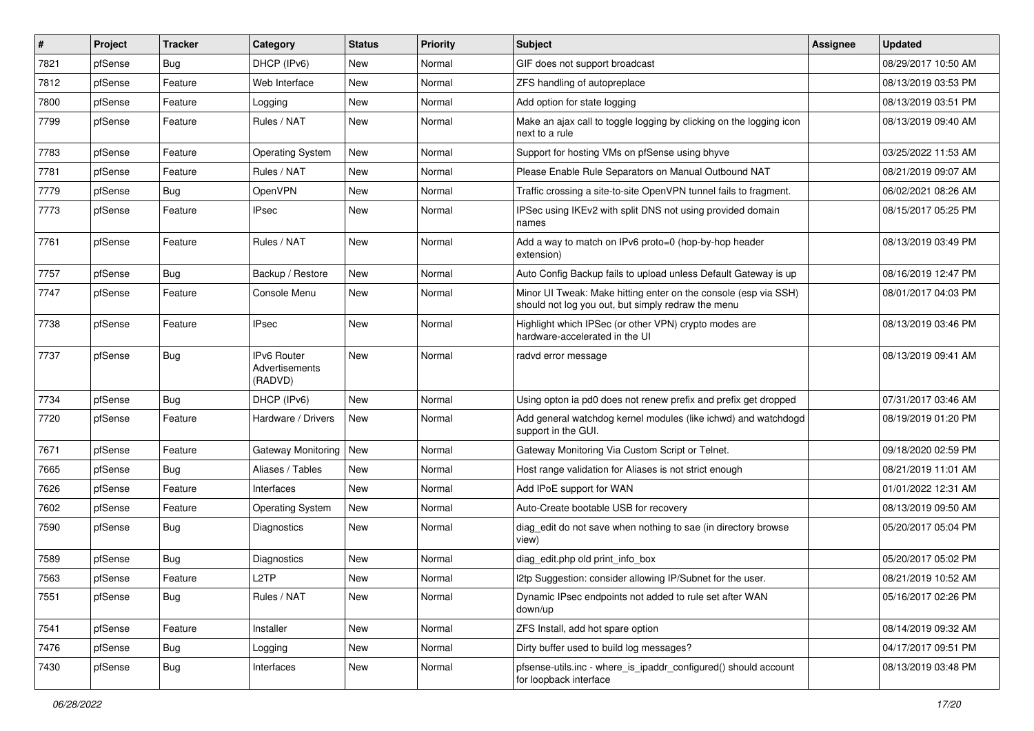| #    | Project | <b>Tracker</b> | Category                                        | <b>Status</b> | Priority | <b>Subject</b>                                                                                                        | <b>Assignee</b> | <b>Updated</b>      |
|------|---------|----------------|-------------------------------------------------|---------------|----------|-----------------------------------------------------------------------------------------------------------------------|-----------------|---------------------|
| 7821 | pfSense | <b>Bug</b>     | DHCP (IPv6)                                     | <b>New</b>    | Normal   | GIF does not support broadcast                                                                                        |                 | 08/29/2017 10:50 AM |
| 7812 | pfSense | Feature        | Web Interface                                   | New           | Normal   | ZFS handling of autopreplace                                                                                          |                 | 08/13/2019 03:53 PM |
| 7800 | pfSense | Feature        | Logging                                         | <b>New</b>    | Normal   | Add option for state logging                                                                                          |                 | 08/13/2019 03:51 PM |
| 7799 | pfSense | Feature        | Rules / NAT                                     | New           | Normal   | Make an ajax call to toggle logging by clicking on the logging icon<br>next to a rule                                 |                 | 08/13/2019 09:40 AM |
| 7783 | pfSense | Feature        | <b>Operating System</b>                         | New           | Normal   | Support for hosting VMs on pfSense using bhyve                                                                        |                 | 03/25/2022 11:53 AM |
| 7781 | pfSense | Feature        | Rules / NAT                                     | New           | Normal   | Please Enable Rule Separators on Manual Outbound NAT                                                                  |                 | 08/21/2019 09:07 AM |
| 7779 | pfSense | Bug            | OpenVPN                                         | <b>New</b>    | Normal   | Traffic crossing a site-to-site OpenVPN tunnel fails to fragment.                                                     |                 | 06/02/2021 08:26 AM |
| 7773 | pfSense | Feature        | <b>IPsec</b>                                    | New           | Normal   | IPSec using IKEv2 with split DNS not using provided domain<br>names                                                   |                 | 08/15/2017 05:25 PM |
| 7761 | pfSense | Feature        | Rules / NAT                                     | <b>New</b>    | Normal   | Add a way to match on IPv6 proto=0 (hop-by-hop header<br>extension)                                                   |                 | 08/13/2019 03:49 PM |
| 7757 | pfSense | Bug            | Backup / Restore                                | <b>New</b>    | Normal   | Auto Config Backup fails to upload unless Default Gateway is up                                                       |                 | 08/16/2019 12:47 PM |
| 7747 | pfSense | Feature        | Console Menu                                    | <b>New</b>    | Normal   | Minor UI Tweak: Make hitting enter on the console (esp via SSH)<br>should not log you out, but simply redraw the menu |                 | 08/01/2017 04:03 PM |
| 7738 | pfSense | Feature        | IPsec                                           | <b>New</b>    | Normal   | Highlight which IPSec (or other VPN) crypto modes are<br>hardware-accelerated in the UI                               |                 | 08/13/2019 03:46 PM |
| 7737 | pfSense | <b>Bug</b>     | <b>IPv6 Router</b><br>Advertisements<br>(RADVD) | New           | Normal   | radvd error message                                                                                                   |                 | 08/13/2019 09:41 AM |
| 7734 | pfSense | <b>Bug</b>     | DHCP (IPv6)                                     | <b>New</b>    | Normal   | Using opton ia pd0 does not renew prefix and prefix get dropped                                                       |                 | 07/31/2017 03:46 AM |
| 7720 | pfSense | Feature        | Hardware / Drivers                              | <b>New</b>    | Normal   | Add general watchdog kernel modules (like ichwd) and watchdogd<br>support in the GUI.                                 |                 | 08/19/2019 01:20 PM |
| 7671 | pfSense | Feature        | Gateway Monitoring                              | <b>New</b>    | Normal   | Gateway Monitoring Via Custom Script or Telnet.                                                                       |                 | 09/18/2020 02:59 PM |
| 7665 | pfSense | <b>Bug</b>     | Aliases / Tables                                | New           | Normal   | Host range validation for Aliases is not strict enough                                                                |                 | 08/21/2019 11:01 AM |
| 7626 | pfSense | Feature        | Interfaces                                      | <b>New</b>    | Normal   | Add IPoE support for WAN                                                                                              |                 | 01/01/2022 12:31 AM |
| 7602 | pfSense | Feature        | <b>Operating System</b>                         | <b>New</b>    | Normal   | Auto-Create bootable USB for recovery                                                                                 |                 | 08/13/2019 09:50 AM |
| 7590 | pfSense | <b>Bug</b>     | Diagnostics                                     | New           | Normal   | diag_edit do not save when nothing to sae (in directory browse<br>view)                                               |                 | 05/20/2017 05:04 PM |
| 7589 | pfSense | Bug            | Diagnostics                                     | <b>New</b>    | Normal   | diag edit.php old print info box                                                                                      |                 | 05/20/2017 05:02 PM |
| 7563 | pfSense | Feature        | L2TP                                            | New           | Normal   | 12tp Suggestion: consider allowing IP/Subnet for the user.                                                            |                 | 08/21/2019 10:52 AM |
| 7551 | pfSense | <b>Bug</b>     | Rules / NAT                                     | New           | Normal   | Dynamic IPsec endpoints not added to rule set after WAN<br>down/up                                                    |                 | 05/16/2017 02:26 PM |
| 7541 | pfSense | Feature        | Installer                                       | <b>New</b>    | Normal   | ZFS Install, add hot spare option                                                                                     |                 | 08/14/2019 09:32 AM |
| 7476 | pfSense | Bug            | Logging                                         | New           | Normal   | Dirty buffer used to build log messages?                                                                              |                 | 04/17/2017 09:51 PM |
| 7430 | pfSense | <b>Bug</b>     | Interfaces                                      | New           | Normal   | pfsense-utils.inc - where_is_ipaddr_configured() should account<br>for loopback interface                             |                 | 08/13/2019 03:48 PM |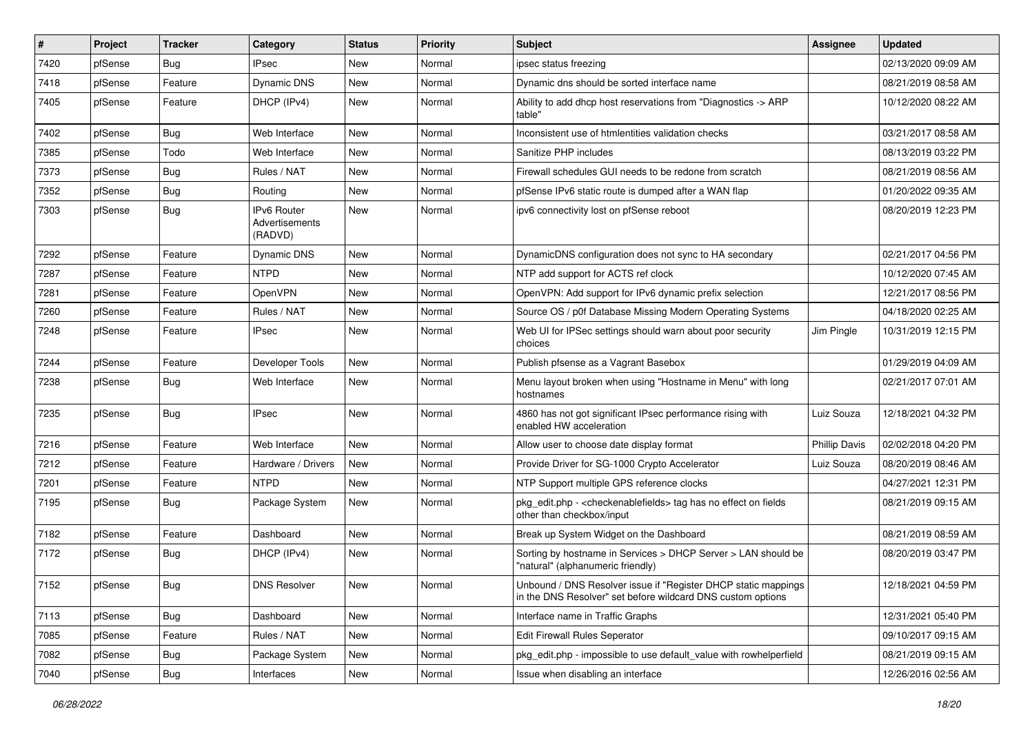| ∦    | Project | <b>Tracker</b>   | Category                                 | <b>Status</b> | <b>Priority</b> | <b>Subject</b>                                                                                                                | <b>Assignee</b>      | <b>Updated</b>      |
|------|---------|------------------|------------------------------------------|---------------|-----------------|-------------------------------------------------------------------------------------------------------------------------------|----------------------|---------------------|
| 7420 | pfSense | <b>Bug</b>       | <b>IPsec</b>                             | New           | Normal          | ipsec status freezing                                                                                                         |                      | 02/13/2020 09:09 AM |
| 7418 | pfSense | Feature          | <b>Dynamic DNS</b>                       | <b>New</b>    | Normal          | Dynamic dns should be sorted interface name                                                                                   |                      | 08/21/2019 08:58 AM |
| 7405 | pfSense | Feature          | DHCP (IPv4)                              | <b>New</b>    | Normal          | Ability to add dhcp host reservations from "Diagnostics -> ARP<br>table"                                                      |                      | 10/12/2020 08:22 AM |
| 7402 | pfSense | <b>Bug</b>       | Web Interface                            | <b>New</b>    | Normal          | Inconsistent use of htmlentities validation checks                                                                            |                      | 03/21/2017 08:58 AM |
| 7385 | pfSense | Todo             | Web Interface                            | New           | Normal          | Sanitize PHP includes                                                                                                         |                      | 08/13/2019 03:22 PM |
| 7373 | pfSense | <b>Bug</b>       | Rules / NAT                              | New           | Normal          | Firewall schedules GUI needs to be redone from scratch                                                                        |                      | 08/21/2019 08:56 AM |
| 7352 | pfSense | <b>Bug</b>       | Routing                                  | <b>New</b>    | Normal          | pfSense IPv6 static route is dumped after a WAN flap                                                                          |                      | 01/20/2022 09:35 AM |
| 7303 | pfSense | Bug              | IPv6 Router<br>Advertisements<br>(RADVD) | <b>New</b>    | Normal          | ipv6 connectivity lost on pfSense reboot                                                                                      |                      | 08/20/2019 12:23 PM |
| 7292 | pfSense | Feature          | Dynamic DNS                              | <b>New</b>    | Normal          | DynamicDNS configuration does not sync to HA secondary                                                                        |                      | 02/21/2017 04:56 PM |
| 7287 | pfSense | Feature          | <b>NTPD</b>                              | <b>New</b>    | Normal          | NTP add support for ACTS ref clock                                                                                            |                      | 10/12/2020 07:45 AM |
| 7281 | pfSense | Feature          | <b>OpenVPN</b>                           | New           | Normal          | OpenVPN: Add support for IPv6 dynamic prefix selection                                                                        |                      | 12/21/2017 08:56 PM |
| 7260 | pfSense | Feature          | Rules / NAT                              | New           | Normal          | Source OS / p0f Database Missing Modern Operating Systems                                                                     |                      | 04/18/2020 02:25 AM |
| 7248 | pfSense | Feature          | <b>IPsec</b>                             | <b>New</b>    | Normal          | Web UI for IPSec settings should warn about poor security<br>choices                                                          | Jim Pingle           | 10/31/2019 12:15 PM |
| 7244 | pfSense | Feature          | Developer Tools                          | <b>New</b>    | Normal          | Publish pfsense as a Vagrant Basebox                                                                                          |                      | 01/29/2019 04:09 AM |
| 7238 | pfSense | <b>Bug</b>       | Web Interface                            | New           | Normal          | Menu layout broken when using "Hostname in Menu" with long<br>hostnames                                                       |                      | 02/21/2017 07:01 AM |
| 7235 | pfSense | <b>Bug</b>       | <b>IPsec</b>                             | <b>New</b>    | Normal          | 4860 has not got significant IPsec performance rising with<br>enabled HW acceleration                                         | Luiz Souza           | 12/18/2021 04:32 PM |
| 7216 | pfSense | Feature          | Web Interface                            | <b>New</b>    | Normal          | Allow user to choose date display format                                                                                      | <b>Phillip Davis</b> | 02/02/2018 04:20 PM |
| 7212 | pfSense | Feature          | Hardware / Drivers                       | <b>New</b>    | Normal          | Provide Driver for SG-1000 Crypto Accelerator                                                                                 | Luiz Souza           | 08/20/2019 08:46 AM |
| 7201 | pfSense | Feature          | <b>NTPD</b>                              | New           | Normal          | NTP Support multiple GPS reference clocks                                                                                     |                      | 04/27/2021 12:31 PM |
| 7195 | pfSense | <b>Bug</b>       | Package System                           | <b>New</b>    | Normal          | pkg_edit.php - <checkenablefields> tag has no effect on fields<br/>other than checkbox/input</checkenablefields>              |                      | 08/21/2019 09:15 AM |
| 7182 | pfSense | Feature          | Dashboard                                | <b>New</b>    | Normal          | Break up System Widget on the Dashboard                                                                                       |                      | 08/21/2019 08:59 AM |
| 7172 | pfSense | <b>Bug</b>       | DHCP (IPv4)                              | <b>New</b>    | Normal          | Sorting by hostname in Services > DHCP Server > LAN should be<br>"natural" (alphanumeric friendly)                            |                      | 08/20/2019 03:47 PM |
| 7152 | pfSense | <b>Bug</b>       | <b>DNS Resolver</b>                      | New           | Normal          | Unbound / DNS Resolver issue if "Register DHCP static mappings<br>in the DNS Resolver" set before wildcard DNS custom options |                      | 12/18/2021 04:59 PM |
| 7113 | pfSense | Bug              | Dashboard                                | New           | Normal          | Interface name in Traffic Graphs                                                                                              |                      | 12/31/2021 05:40 PM |
| 7085 | pfSense | Feature          | Rules / NAT                              | New           | Normal          | Edit Firewall Rules Seperator                                                                                                 |                      | 09/10/2017 09:15 AM |
| 7082 | pfSense | <b>Bug</b>       | Package System                           | New           | Normal          | pkg_edit.php - impossible to use default_value with rowhelperfield                                                            |                      | 08/21/2019 09:15 AM |
| 7040 | pfSense | <sub>I</sub> Bug | Interfaces                               | New           | Normal          | Issue when disabling an interface                                                                                             |                      | 12/26/2016 02:56 AM |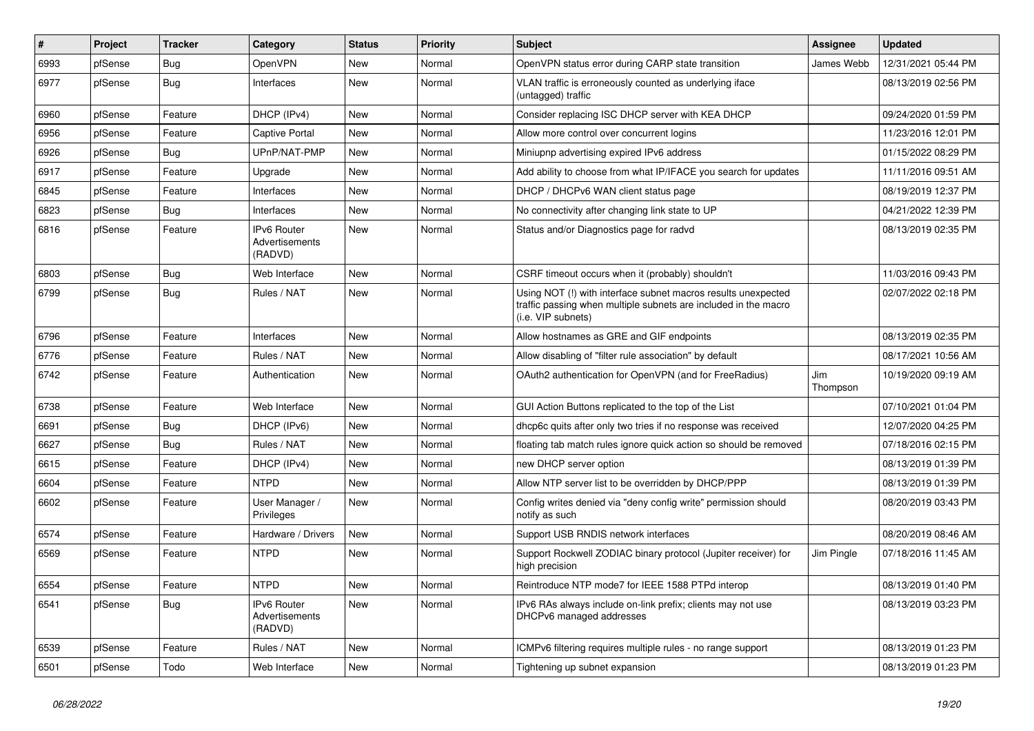| #    | Project | <b>Tracker</b> | Category                                        | <b>Status</b> | <b>Priority</b> | Subject                                                                                                                                                | Assignee        | <b>Updated</b>      |
|------|---------|----------------|-------------------------------------------------|---------------|-----------------|--------------------------------------------------------------------------------------------------------------------------------------------------------|-----------------|---------------------|
| 6993 | pfSense | <b>Bug</b>     | OpenVPN                                         | New           | Normal          | OpenVPN status error during CARP state transition                                                                                                      | James Webb      | 12/31/2021 05:44 PM |
| 6977 | pfSense | Bug            | Interfaces                                      | <b>New</b>    | Normal          | VLAN traffic is erroneously counted as underlying iface<br>(untagged) traffic                                                                          |                 | 08/13/2019 02:56 PM |
| 6960 | pfSense | Feature        | DHCP (IPv4)                                     | <b>New</b>    | Normal          | Consider replacing ISC DHCP server with KEA DHCP                                                                                                       |                 | 09/24/2020 01:59 PM |
| 6956 | pfSense | Feature        | <b>Captive Portal</b>                           | <b>New</b>    | Normal          | Allow more control over concurrent logins                                                                                                              |                 | 11/23/2016 12:01 PM |
| 6926 | pfSense | Bug            | UPnP/NAT-PMP                                    | <b>New</b>    | Normal          | Miniupnp advertising expired IPv6 address                                                                                                              |                 | 01/15/2022 08:29 PM |
| 6917 | pfSense | Feature        | Upgrade                                         | New           | Normal          | Add ability to choose from what IP/IFACE you search for updates                                                                                        |                 | 11/11/2016 09:51 AM |
| 6845 | pfSense | Feature        | Interfaces                                      | <b>New</b>    | Normal          | DHCP / DHCPv6 WAN client status page                                                                                                                   |                 | 08/19/2019 12:37 PM |
| 6823 | pfSense | Bug            | Interfaces                                      | New           | Normal          | No connectivity after changing link state to UP                                                                                                        |                 | 04/21/2022 12:39 PM |
| 6816 | pfSense | Feature        | <b>IPv6 Router</b><br>Advertisements<br>(RADVD) | <b>New</b>    | Normal          | Status and/or Diagnostics page for radvd                                                                                                               |                 | 08/13/2019 02:35 PM |
| 6803 | pfSense | Bug            | Web Interface                                   | <b>New</b>    | Normal          | CSRF timeout occurs when it (probably) shouldn't                                                                                                       |                 | 11/03/2016 09:43 PM |
| 6799 | pfSense | Bug            | Rules / NAT                                     | <b>New</b>    | Normal          | Using NOT (!) with interface subnet macros results unexpected<br>traffic passing when multiple subnets are included in the macro<br>(i.e. VIP subnets) |                 | 02/07/2022 02:18 PM |
| 6796 | pfSense | Feature        | Interfaces                                      | <b>New</b>    | Normal          | Allow hostnames as GRE and GIF endpoints                                                                                                               |                 | 08/13/2019 02:35 PM |
| 6776 | pfSense | Feature        | Rules / NAT                                     | <b>New</b>    | Normal          | Allow disabling of "filter rule association" by default                                                                                                |                 | 08/17/2021 10:56 AM |
| 6742 | pfSense | Feature        | Authentication                                  | <b>New</b>    | Normal          | OAuth2 authentication for OpenVPN (and for FreeRadius)                                                                                                 | Jim<br>Thompson | 10/19/2020 09:19 AM |
| 6738 | pfSense | Feature        | Web Interface                                   | <b>New</b>    | Normal          | GUI Action Buttons replicated to the top of the List                                                                                                   |                 | 07/10/2021 01:04 PM |
| 6691 | pfSense | Bug            | DHCP (IPv6)                                     | New           | Normal          | dhcp6c quits after only two tries if no response was received                                                                                          |                 | 12/07/2020 04:25 PM |
| 6627 | pfSense | Bug            | Rules / NAT                                     | <b>New</b>    | Normal          | floating tab match rules ignore quick action so should be removed                                                                                      |                 | 07/18/2016 02:15 PM |
| 6615 | pfSense | Feature        | DHCP (IPv4)                                     | <b>New</b>    | Normal          | new DHCP server option                                                                                                                                 |                 | 08/13/2019 01:39 PM |
| 6604 | pfSense | Feature        | <b>NTPD</b>                                     | New           | Normal          | Allow NTP server list to be overridden by DHCP/PPP                                                                                                     |                 | 08/13/2019 01:39 PM |
| 6602 | pfSense | Feature        | User Manager /<br>Privileges                    | New           | Normal          | Config writes denied via "deny config write" permission should<br>notify as such                                                                       |                 | 08/20/2019 03:43 PM |
| 6574 | pfSense | Feature        | Hardware / Drivers                              | <b>New</b>    | Normal          | Support USB RNDIS network interfaces                                                                                                                   |                 | 08/20/2019 08:46 AM |
| 6569 | pfSense | Feature        | <b>NTPD</b>                                     | <b>New</b>    | Normal          | Support Rockwell ZODIAC binary protocol (Jupiter receiver) for<br>high precision                                                                       | Jim Pingle      | 07/18/2016 11:45 AM |
| 6554 | pfSense | i Feature      | <b>NTPD</b>                                     | New           | Normal          | Reintroduce NTP mode7 for IEEE 1588 PTPd interop                                                                                                       |                 | 08/13/2019 01:40 PM |
| 6541 | pfSense | <b>Bug</b>     | IPv6 Router<br>Advertisements<br>(RADVD)        | New           | Normal          | IPv6 RAs always include on-link prefix; clients may not use<br>DHCPv6 managed addresses                                                                |                 | 08/13/2019 03:23 PM |
| 6539 | pfSense | Feature        | Rules / NAT                                     | New           | Normal          | ICMPv6 filtering requires multiple rules - no range support                                                                                            |                 | 08/13/2019 01:23 PM |
| 6501 | pfSense | Todo           | Web Interface                                   | New           | Normal          | Tightening up subnet expansion                                                                                                                         |                 | 08/13/2019 01:23 PM |